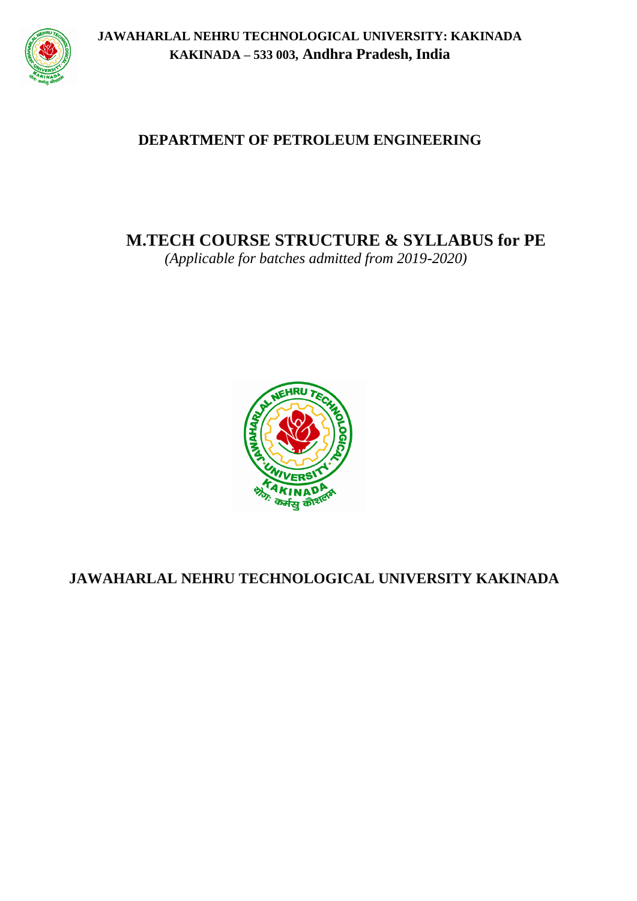

# **DEPARTMENT OF PETROLEUM ENGINEERING**

**M.TECH COURSE STRUCTURE & SYLLABUS for PE**

*(Applicable for batches admitted from 2019-2020)*



# **JAWAHARLAL NEHRU TECHNOLOGICAL UNIVERSITY KAKINADA**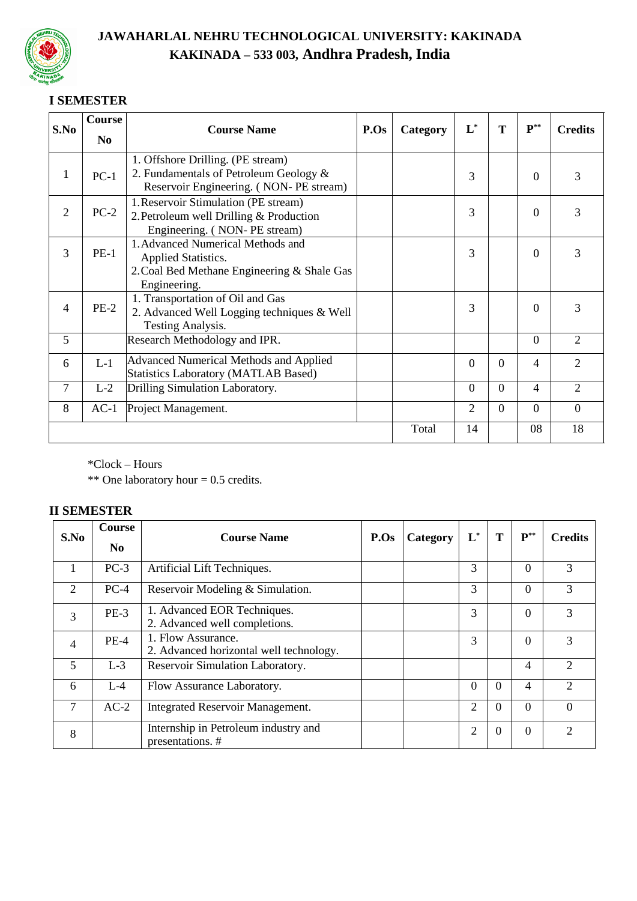

# **I SEMESTER**

| S.No           | Course                               | <b>Course Name</b>                          | P.Os | Category | $L^*$          | T        | ${\bf P}^{**}$ | <b>Credits</b>              |
|----------------|--------------------------------------|---------------------------------------------|------|----------|----------------|----------|----------------|-----------------------------|
|                | N <sub>0</sub>                       |                                             |      |          |                |          |                |                             |
|                |                                      | 1. Offshore Drilling. (PE stream)           |      |          |                |          |                |                             |
| 1              | $PC-1$                               | 2. Fundamentals of Petroleum Geology &      |      |          | 3              |          | $\Omega$       | 3                           |
|                |                                      | Reservoir Engineering. (NON-PE stream)      |      |          |                |          |                |                             |
|                | 1. Reservoir Stimulation (PE stream) |                                             |      |          |                |          |                |                             |
| $\overline{2}$ | $PC-2$                               | 2. Petroleum well Drilling & Production     |      |          | 3              |          | $\Omega$       | 3                           |
|                |                                      | Engineering. (NON-PE stream)                |      |          |                |          |                |                             |
| 3              | $PE-1$                               | 1. Advanced Numerical Methods and           |      |          | 3              |          | $\Omega$       | 3                           |
|                |                                      | <b>Applied Statistics.</b>                  |      |          |                |          |                |                             |
|                |                                      | 2. Coal Bed Methane Engineering & Shale Gas |      |          |                |          |                |                             |
|                |                                      | Engineering.                                |      |          |                |          |                |                             |
| 4              | $PE-2$                               | 1. Transportation of Oil and Gas            |      |          | 3              |          | $\Omega$       | 3                           |
|                |                                      | 2. Advanced Well Logging techniques & Well  |      |          |                |          |                |                             |
|                |                                      | <b>Testing Analysis.</b>                    |      |          |                |          |                |                             |
| 5              |                                      | Research Methodology and IPR.               |      |          |                |          | $\Omega$       | $\mathcal{D}_{\mathcal{L}}$ |
| 6              | $L-1$                                | Advanced Numerical Methods and Applied      |      |          | $\Omega$       | $\Omega$ | 4              | 2                           |
|                |                                      | <b>Statistics Laboratory (MATLAB Based)</b> |      |          |                |          |                |                             |
| $\overline{7}$ | $L-2$                                | Drilling Simulation Laboratory.             |      |          | $\Omega$       | $\Omega$ | 4              | $\mathcal{D}_{\mathcal{L}}$ |
| 8              | $AC-1$                               | Project Management.                         |      |          | $\overline{2}$ | $\Omega$ | $\Omega$       | $\overline{0}$              |
|                |                                      |                                             |      | Total    | 14             |          | 08             | 18                          |

\*Clock – Hours

\*\* One laboratory hour = 0.5 credits.

# **II SEMESTER**

| S.No           | Course         | <b>Course Name</b>                                            | P.Os |          | $\mathbf{L}^*$ | T        | ${\bf P}^{**}$ | <b>Credits</b>              |
|----------------|----------------|---------------------------------------------------------------|------|----------|----------------|----------|----------------|-----------------------------|
|                | N <sub>0</sub> |                                                               |      | Category |                |          |                |                             |
|                | $PC-3$         | Artificial Lift Techniques.                                   |      |          | 3              |          | $\Omega$       | 3                           |
| 2              | $PC-4$         | Reservoir Modeling & Simulation.                              |      |          | 3              |          | $\Omega$       | 3                           |
| 3              | $PE-3$         | 1. Advanced EOR Techniques.<br>2. Advanced well completions.  |      |          | 3              |          | $\Omega$       | 3                           |
| $\overline{4}$ | $PE-4$         | 1. Flow Assurance.<br>2. Advanced horizontal well technology. |      |          | 3              |          | $\Omega$       | 3                           |
| 5              | $L-3$          | Reservoir Simulation Laboratory.                              |      |          |                |          | 4              |                             |
| 6              | $L - 4$        | Flow Assurance Laboratory.                                    |      |          | $\Omega$       | $\Omega$ | $\overline{4}$ | $\mathcal{D}_{\mathcal{L}}$ |
| $\tau$         | $AC-2$         | <b>Integrated Reservoir Management.</b>                       |      |          | 2              | $\Omega$ | $\Omega$       | $\Omega$                    |
| 8              |                | Internship in Petroleum industry and<br>presentations.#       |      |          | 2              | $\Omega$ | $\Omega$       | 2                           |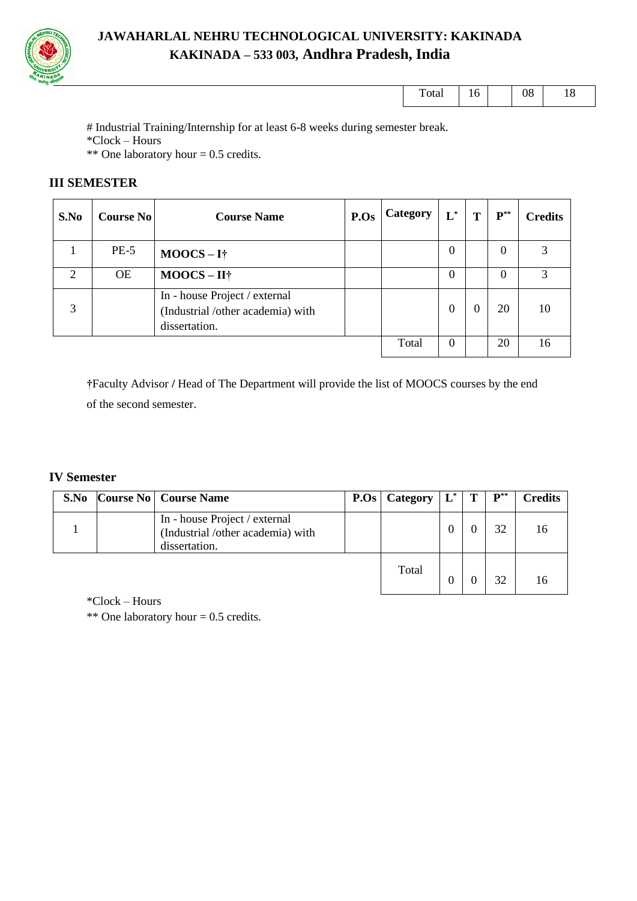

| <u>i</u> otal | -<br>* ∿ | vv | ⊥ ∪ |
|---------------|----------|----|-----|
|               |          |    |     |

# Industrial Training/Internship for at least 6-8 weeks during semester break. \*Clock – Hours

\*\* One laboratory hour = 0.5 credits.

# **III SEMESTER**

| S.No | <b>Course No</b> | <b>Course Name</b>                                                                  | P.Os | Category | $L^*$    | T            | ${\bf P}^{**}$ | <b>Credits</b> |
|------|------------------|-------------------------------------------------------------------------------------|------|----------|----------|--------------|----------------|----------------|
|      | $PE-5$           | $MOOCS-I\dagger$                                                                    |      |          | $\Omega$ |              | $\Omega$       |                |
| ◠    | <b>OE</b>        | $MOOCS - II^+$                                                                      |      |          | $\Omega$ |              | $\theta$       |                |
| 3    |                  | In - house Project / external<br>(Industrial /other academia) with<br>dissertation. |      |          | $\theta$ | $\mathbf{0}$ | 20             | 10             |
|      |                  |                                                                                     |      | Total    | $\Omega$ |              | 20             | 16             |

**†**Faculty Advisor **/** Head of The Department will provide the list of MOOCS courses by the end of the second semester.

#### **IV Semester**

| S.No | <b>Course No   Course Name</b>                                                      | P.Os | Category | $\mathbf{L}^*$ | $\mathbf{p}^{**}$ | <b>Credits</b> |
|------|-------------------------------------------------------------------------------------|------|----------|----------------|-------------------|----------------|
|      | In - house Project / external<br>(Industrial /other academia) with<br>dissertation. |      |          |                | 32                |                |
|      |                                                                                     |      | Total    |                | 32                |                |

\*Clock – Hours

\*\* One laboratory hour = 0.5 credits.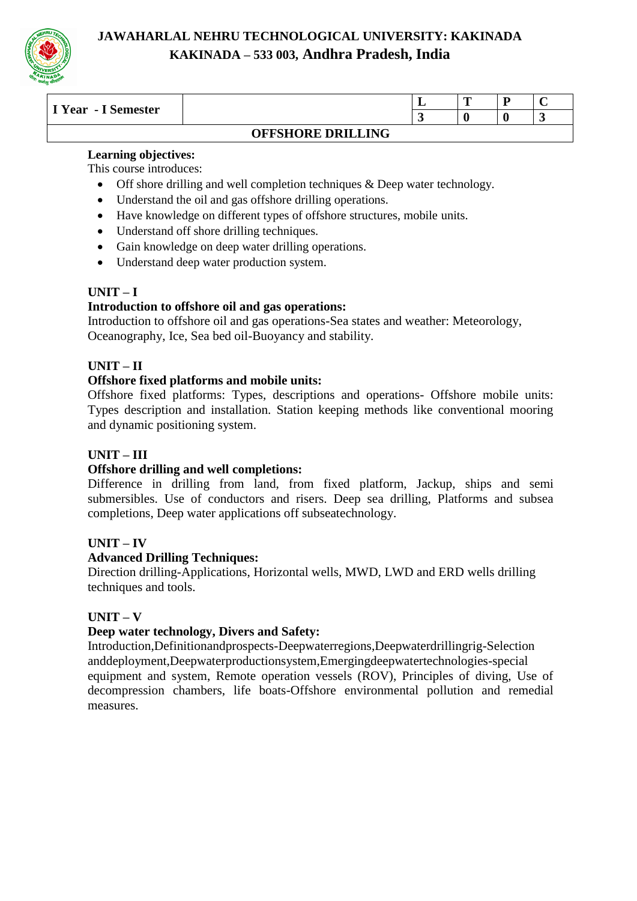

| I Year<br>- I Semester |                          |        | m<br>- |  |
|------------------------|--------------------------|--------|--------|--|
|                        |                          | $\sim$ |        |  |
|                        | <b>OFFSHORE DRILLING</b> |        |        |  |

#### **Learning objectives:**

This course introduces:

- Off shore drilling and well completion techniques & Deep water technology.
- Understand the oil and gas offshore drilling operations.
- Have knowledge on different types of offshore structures, mobile units.
- Understand off shore drilling techniques.
- Gain knowledge on deep water drilling operations.
- Understand deep water production system.

# **UNIT – I**

#### **Introduction to offshore oil and gas operations:**

Introduction to offshore oil and gas operations-Sea states and weather: Meteorology, Oceanography, Ice, Sea bed oil-Buoyancy and stability.

#### **UNIT – II**

#### **Offshore fixed platforms and mobile units:**

Offshore fixed platforms: Types, descriptions and operations- Offshore mobile units: Types description and installation. Station keeping methods like conventional mooring and dynamic positioning system.

#### **UNIT – III**

#### **Offshore drilling and well completions:**

Difference in drilling from land, from fixed platform, Jackup, ships and semi submersibles. Use of conductors and risers. Deep sea drilling, Platforms and subsea completions, Deep water applications off subseatechnology.

#### **UNIT – IV**

#### **Advanced Drilling Techniques:**

Direction drilling-Applications, Horizontal wells, MWD, LWD and ERD wells drilling techniques and tools.

#### **UNIT – V**

#### **Deep water technology, Divers and Safety:**

Introduction,Definitionandprospects-Deepwaterregions,Deepwaterdrillingrig-Selection anddeployment,Deepwaterproductionsystem,Emergingdeepwatertechnologies-special equipment and system, Remote operation vessels (ROV), Principles of diving, Use of decompression chambers, life boats-Offshore environmental pollution and remedial measures.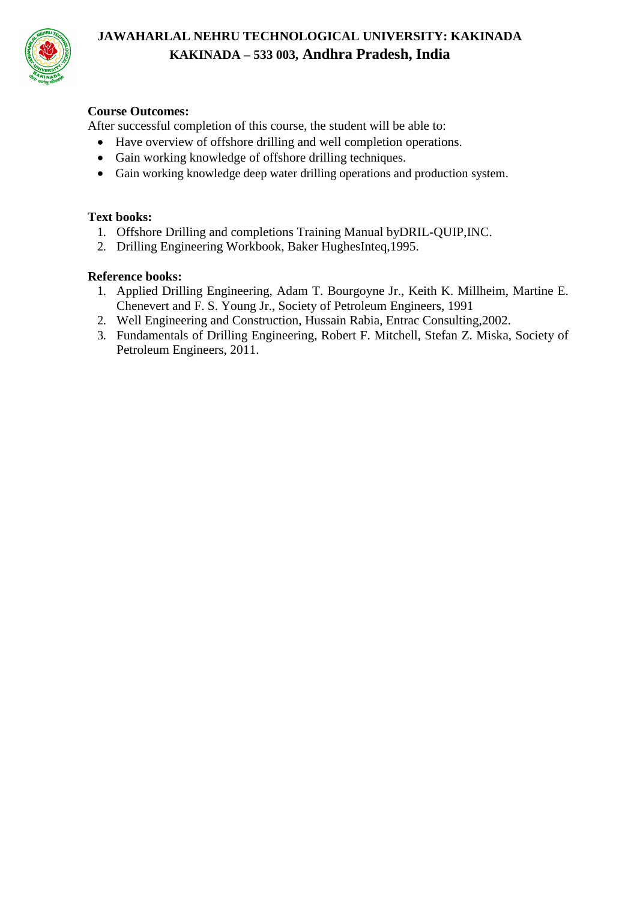

# **Course Outcomes:**

After successful completion of this course, the student will be able to:

- Have overview of offshore drilling and well completion operations.
- Gain working knowledge of offshore drilling techniques.
- Gain working knowledge deep water drilling operations and production system.

#### **Text books:**

- 1. Offshore Drilling and completions Training Manual byDRIL-QUIP,INC.
- 2. Drilling Engineering Workbook, Baker HughesInteq,1995.

#### **Reference books:**

- 1. Applied Drilling Engineering, Adam T. Bourgoyne Jr., Keith K. Millheim, Martine E. Chenevert and F. S. Young Jr., Society of Petroleum Engineers, 1991
- 2. Well Engineering and Construction, Hussain Rabia, Entrac Consulting,2002.
- 3. Fundamentals of Drilling Engineering, Robert F. Mitchell, Stefan Z. Miska, Society of Petroleum Engineers, 2011.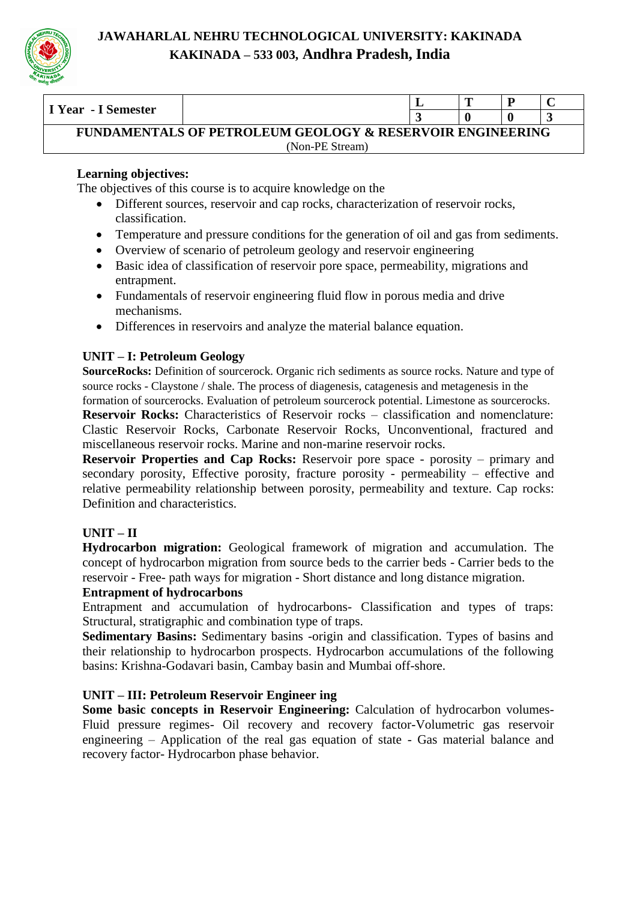

| I Year - I Semester                                                  |                 |  | m |  |  |  |  |  |
|----------------------------------------------------------------------|-----------------|--|---|--|--|--|--|--|
|                                                                      |                 |  |   |  |  |  |  |  |
| <b>FUNDAMENTALS OF PETROLEUM GEOLOGY &amp; RESERVOIR ENGINEERING</b> |                 |  |   |  |  |  |  |  |
|                                                                      | (Non-PE Stream) |  |   |  |  |  |  |  |

# **Learning objectives:**

The objectives of this course is to acquire knowledge on the

- Different sources, reservoir and cap rocks, characterization of reservoir rocks, classification.
- Temperature and pressure conditions for the generation of oil and gas from sediments.
- Overview of scenario of petroleum geology and reservoir engineering
- Basic idea of classification of reservoir pore space, permeability, migrations and entrapment.
- Fundamentals of reservoir engineering fluid flow in porous media and drive mechanisms.
- Differences in reservoirs and analyze the material balance equation.

# **UNIT – I: Petroleum Geology**

**SourceRocks:** Definition of sourcerock. Organic rich sediments as source rocks. Nature and type of source rocks - Claystone / shale. The process of diagenesis, catagenesis and metagenesis in the

formation of sourcerocks. Evaluation of petroleum sourcerock potential. Limestone as sourcerocks.

**Reservoir Rocks:** Characteristics of Reservoir rocks – classification and nomenclature: Clastic Reservoir Rocks, Carbonate Reservoir Rocks, Unconventional, fractured and miscellaneous reservoir rocks. Marine and non-marine reservoir rocks.

**Reservoir Properties and Cap Rocks:** Reservoir pore space - porosity – primary and secondary porosity, Effective porosity, fracture porosity - permeability – effective and relative permeability relationship between porosity, permeability and texture. Cap rocks: Definition and characteristics.

# **UNIT – II**

**Hydrocarbon migration:** Geological framework of migration and accumulation. The concept of hydrocarbon migration from source beds to the carrier beds - Carrier beds to the reservoir - Free- path ways for migration - Short distance and long distance migration.

# **Entrapment of hydrocarbons**

Entrapment and accumulation of hydrocarbons- Classification and types of traps: Structural, stratigraphic and combination type of traps.

**Sedimentary Basins:** Sedimentary basins -origin and classification. Types of basins and their relationship to hydrocarbon prospects. Hydrocarbon accumulations of the following basins: Krishna-Godavari basin, Cambay basin and Mumbai off-shore.

# **UNIT – III: Petroleum Reservoir Engineer ing**

**Some basic concepts in Reservoir Engineering:** Calculation of hydrocarbon volumes-Fluid pressure regimes- Oil recovery and recovery factor-Volumetric gas reservoir engineering – Application of the real gas equation of state - Gas material balance and recovery factor- Hydrocarbon phase behavior.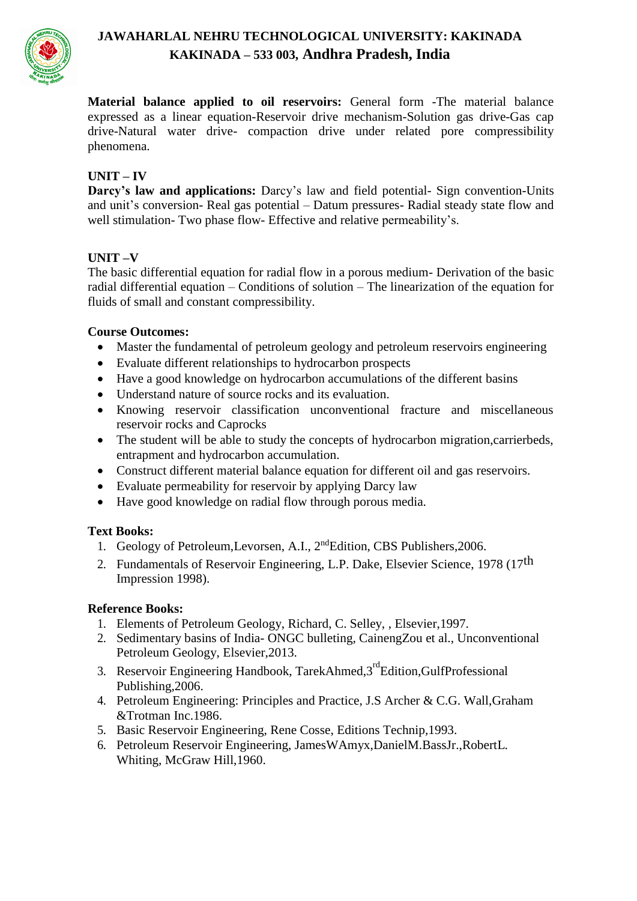

**Material balance applied to oil reservoirs:** General form -The material balance expressed as a linear equation-Reservoir drive mechanism-Solution gas drive-Gas cap drive-Natural water drive- compaction drive under related pore compressibility phenomena.

# **UNIT – IV**

**Darcy's law and applications:** Darcy's law and field potential- Sign convention-Units and unit's conversion- Real gas potential – Datum pressures- Radial steady state flow and well stimulation- Two phase flow- Effective and relative permeability's.

# **UNIT –V**

The basic differential equation for radial flow in a porous medium- Derivation of the basic radial differential equation – Conditions of solution – The linearization of the equation for fluids of small and constant compressibility.

# **Course Outcomes:**

- Master the fundamental of petroleum geology and petroleum reservoirs engineering
- Evaluate different relationships to hydrocarbon prospects
- Have a good knowledge on hydrocarbon accumulations of the different basins
- Understand nature of source rocks and its evaluation.
- Knowing reservoir classification unconventional fracture and miscellaneous reservoir rocks and Caprocks
- The student will be able to study the concepts of hydrocarbon migration, carrierbeds, entrapment and hydrocarbon accumulation.
- Construct different material balance equation for different oil and gas reservoirs.
- Evaluate permeability for reservoir by applying Darcy law
- Have good knowledge on radial flow through porous media.

#### **Text Books:**

- 1. Geology of Petroleum, Levorsen, A.I., 2<sup>nd</sup>Edition, CBS Publishers, 2006.
- 2. Fundamentals of Reservoir Engineering, L.P. Dake, Elsevier Science, 1978 (17<sup>th</sup>) Impression 1998).

#### **Reference Books:**

- 1. Elements of Petroleum Geology, Richard, C. Selley, , Elsevier,1997.
- 2. Sedimentary basins of India- ONGC bulleting, CainengZou et al., Unconventional Petroleum Geology, Elsevier,2013.
- 3. Reservoir Engineering Handbook, TarekAhmed,3<sup>rd</sup>Edition,GulfProfessional Publishing,2006.
- 4. Petroleum Engineering: Principles and Practice, J.S Archer & C.G. Wall,Graham &Trotman Inc.1986.
- 5. Basic Reservoir Engineering, Rene Cosse, Editions Technip,1993.
- 6. Petroleum Reservoir Engineering, JamesWAmyx,DanielM.BassJr.,RobertL. Whiting, McGraw Hill,1960.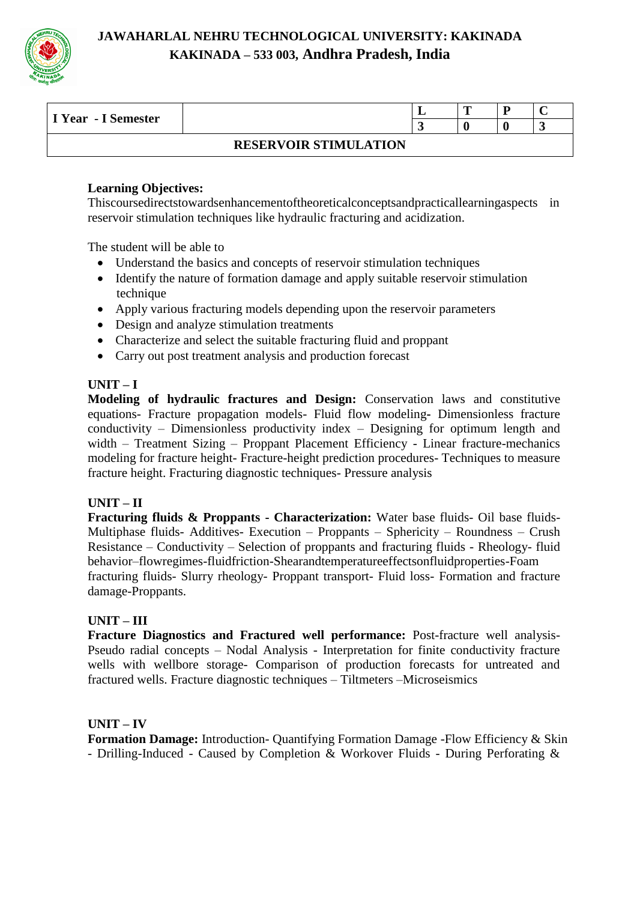

| I Year - I Semester |                              | . . | m |  |
|---------------------|------------------------------|-----|---|--|
|                     |                              |     |   |  |
|                     | <b>RESERVOIR STIMULATION</b> |     |   |  |

#### **Learning Objectives:**

Thiscoursedirectstowardsenhancementoftheoreticalconceptsandpracticallearningaspects in reservoir stimulation techniques like hydraulic fracturing and acidization.

The student will be able to

- Understand the basics and concepts of reservoir stimulation techniques
- Identify the nature of formation damage and apply suitable reservoir stimulation technique
- Apply various fracturing models depending upon the reservoir parameters
- Design and analyze stimulation treatments
- Characterize and select the suitable fracturing fluid and proppant
- Carry out post treatment analysis and production forecast

#### **UNIT – I**

**Modeling of hydraulic fractures and Design:** Conservation laws and constitutive equations- Fracture propagation models- Fluid flow modeling**-** Dimensionless fracture conductivity – Dimensionless productivity index – Designing for optimum length and width – Treatment Sizing – Proppant Placement Efficiency - Linear fracture-mechanics modeling for fracture height- Fracture-height prediction procedures- Techniques to measure fracture height. Fracturing diagnostic techniques- Pressure analysis

#### **UNIT – II**

**Fracturing fluids & Proppants - Characterization:** Water base fluids- Oil base fluids-Multiphase fluids- Additives- Execution – Proppants – Sphericity – Roundness – Crush Resistance – Conductivity – Selection of proppants and fracturing fluids - Rheology- fluid behavior–flowregimes-fluidfriction-Shearandtemperatureeffectsonfluidproperties-Foam fracturing fluids- Slurry rheology- Proppant transport- Fluid loss- Formation and fracture damage-Proppants.

# **UNIT – III**

**Fracture Diagnostics and Fractured well performance:** Post-fracture well analysis-Pseudo radial concepts – Nodal Analysis - Interpretation for finite conductivity fracture wells with wellbore storage- Comparison of production forecasts for untreated and fractured wells. Fracture diagnostic techniques – Tiltmeters –Microseismics

#### **UNIT – IV**

**Formation Damage:** Introduction- Quantifying Formation Damage -Flow Efficiency & Skin - Drilling-Induced - Caused by Completion & Workover Fluids - During Perforating &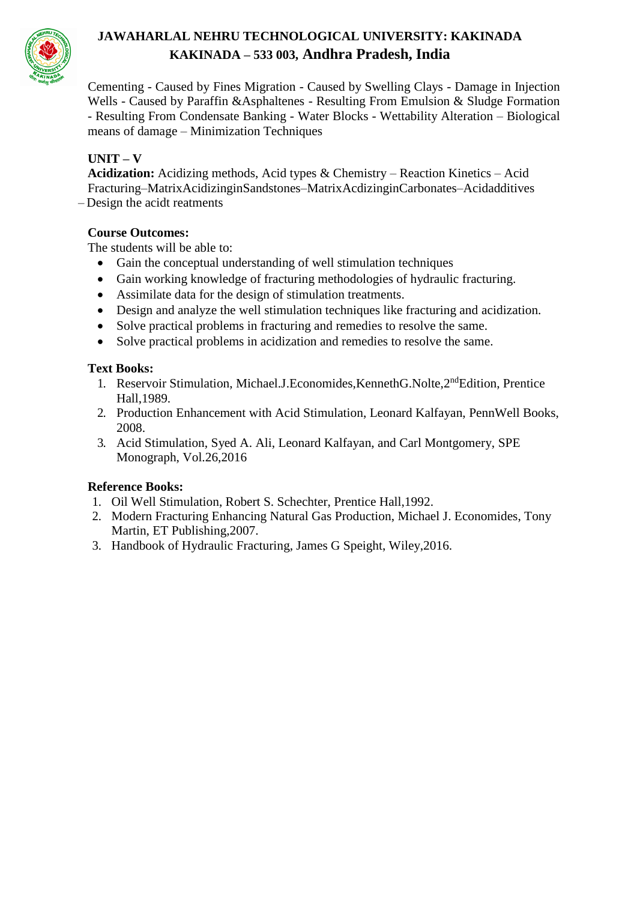

Cementing - Caused by Fines Migration - Caused by Swelling Clays - Damage in Injection Wells - Caused by Paraffin &Asphaltenes - Resulting From Emulsion & Sludge Formation - Resulting From Condensate Banking - Water Blocks - Wettability Alteration – Biological means of damage – Minimization Techniques

# **UNIT – V**

**Acidization:** Acidizing methods, Acid types & Chemistry – Reaction Kinetics – Acid Fracturing–MatrixAcidizinginSandstones–MatrixAcdizinginCarbonates–Acidadditives – Design the acidt reatments

# **Course Outcomes:**

The students will be able to:

- Gain the conceptual understanding of well stimulation techniques
- Gain working knowledge of fracturing methodologies of hydraulic fracturing.
- Assimilate data for the design of stimulation treatments.
- Design and analyze the well stimulation techniques like fracturing and acidization.
- Solve practical problems in fracturing and remedies to resolve the same.
- Solve practical problems in acidization and remedies to resolve the same.

# **Text Books:**

- 1. Reservoir Stimulation, Michael.J.Economides, KennethG.Nolte, 2<sup>nd</sup>Edition, Prentice Hall,1989.
- 2. Production Enhancement with Acid Stimulation, [Leonard Kalfayan, P](https://www.google.co.in/search?tbo=p&tbm=bks&q=inauthor%3A%22Leonard%2BKalfayan%22)ennWell Books, 2008.
- 3. Acid Stimulation, Syed A. Ali, Leonard Kalfayan, and Carl Montgomery, SPE Monograph, Vol.26,2016

# **Reference Books:**

- 1. Oil Well Stimulation, Robert S. Schechter, Prentice Hall,1992.
- 2. Modern Fracturing Enhancing Natural Gas Production, Michael J. Economides, Tony Martin, ET Publishing,2007.
- 3. Handbook of Hydraulic Fracturing, James G Speight, Wiley,2016.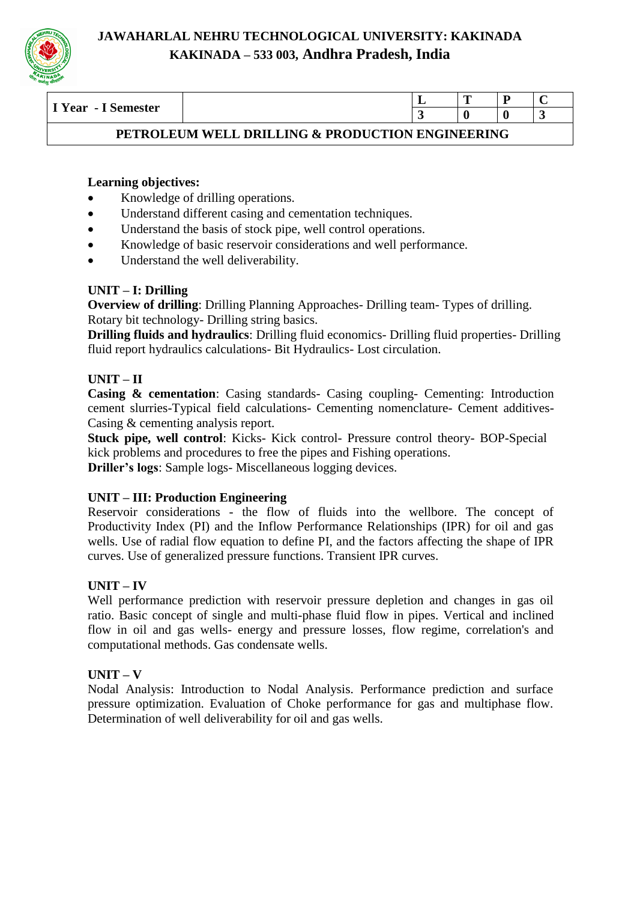

| $-$<br>$\sim$                    |                                 | -- | - | $\overline{\phantom{0}}$ |
|----------------------------------|---------------------------------|----|---|--------------------------|
| emester<br>Year<br>- 1<br>ັ<br>- |                                 |    |   |                          |
|                                  | the contract of the contract of |    |   |                          |

# **PETROLEUM WELL DRILLING & PRODUCTION ENGINEERING**

# **Learning objectives:**

- Knowledge of drilling operations.
- Understand different casing and cementation techniques.
- Understand the basis of stock pipe, well control operations.
- Knowledge of basic reservoir considerations and well performance.
- Understand the well deliverability.

# **UNIT – I: Drilling**

**Overview of drilling**: Drilling Planning Approaches- Drilling team- Types of drilling. Rotary bit technology- Drilling string basics.

**Drilling fluids and hydraulics**: Drilling fluid economics- Drilling fluid properties- Drilling fluid report hydraulics calculations- Bit Hydraulics- Lost circulation.

# **UNIT – II**

**Casing & cementation**: Casing standards- Casing coupling- Cementing: Introduction cement slurries-Typical field calculations- Cementing nomenclature- Cement additives-Casing & cementing analysis report.

**Stuck pipe, well control**: Kicks- Kick control- Pressure control theory- BOP-Special kick problems and procedures to free the pipes and Fishing operations.

**Driller's logs**: Sample logs- Miscellaneous logging devices.

# **UNIT – III: Production Engineering**

Reservoir considerations - the flow of fluids into the wellbore. The concept of Productivity Index (PI) and the Inflow Performance Relationships (IPR) for oil and gas wells. Use of radial flow equation to define PI, and the factors affecting the shape of IPR curves. Use of generalized pressure functions. Transient IPR curves.

# **UNIT – IV**

Well performance prediction with reservoir pressure depletion and changes in gas oil ratio. Basic concept of single and multi-phase fluid flow in pipes. Vertical and inclined flow in oil and gas wells- energy and pressure losses, flow regime, correlation's and computational methods. Gas condensate wells.

# **UNIT – V**

Nodal Analysis: Introduction to Nodal Analysis. Performance prediction and surface pressure optimization. Evaluation of Choke performance for gas and multiphase flow. Determination of well deliverability for oil and gas wells.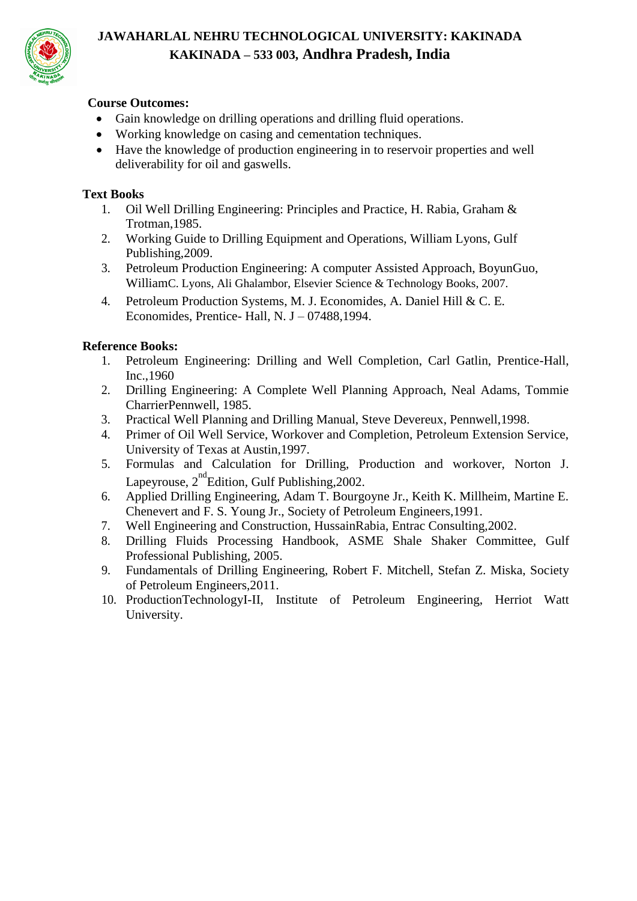

# **Course Outcomes:**

- Gain knowledge on drilling operations and drilling fluid operations.
- Working knowledge on casing and cementation techniques.
- Have the knowledge of production engineering in to reservoir properties and well deliverability for oil and gaswells.

### **Text Books**

- 1. Oil Well Drilling Engineering: Principles and Practice, H. Rabia, Graham & Trotman,1985.
- 2. Working Guide to Drilling Equipment and Operations, William Lyons, Gulf Publishing,2009.
- 3. Petroleum Production Engineering: A computer Assisted Approach, BoyunGuo, WilliamC. Lyons, Ali Ghalambor, Elsevier Science & Technology Books, 2007.
- 4. Petroleum Production Systems, M. J. Economides, A. Daniel Hill & C. E. Economides, Prentice- Hall, N. J – 07488,1994.

#### **Reference Books:**

- 1. Petroleum Engineering: Drilling and Well Completion, Carl Gatlin, Prentice-Hall, Inc.,1960
- 2. Drilling Engineering: A Complete Well Planning Approach, Neal Adams, Tommie CharrierPennwell, 1985.
- 3. Practical Well Planning and Drilling Manual, Steve Devereux, Pennwell,1998.
- 4. Primer of Oil Well Service, Workover and Completion, Petroleum Extension Service, University of Texas at Austin,1997.
- 5. Formulas and Calculation for Drilling, Production and workover, Norton J. Lapeyrouse,  $2<sup>nd</sup>$ Edition, Gulf Publishing, 2002.
- 6. Applied Drilling Engineering, Adam T. Bourgoyne Jr., Keith K. Millheim, Martine E. Chenevert and F. S. Young Jr., Society of Petroleum Engineers,1991.
- 7. Well Engineering and Construction, HussainRabia, Entrac Consulting,2002.
- 8. Drilling Fluids Processing Handbook, ASME Shale Shaker Committee, Gulf Professional Publishing, 2005.
- 9. Fundamentals of Drilling Engineering, Robert F. Mitchell, Stefan Z. Miska, Society of Petroleum Engineers,2011.
- 10. ProductionTechnologyI-II, Institute of Petroleum Engineering, Herriot Watt University.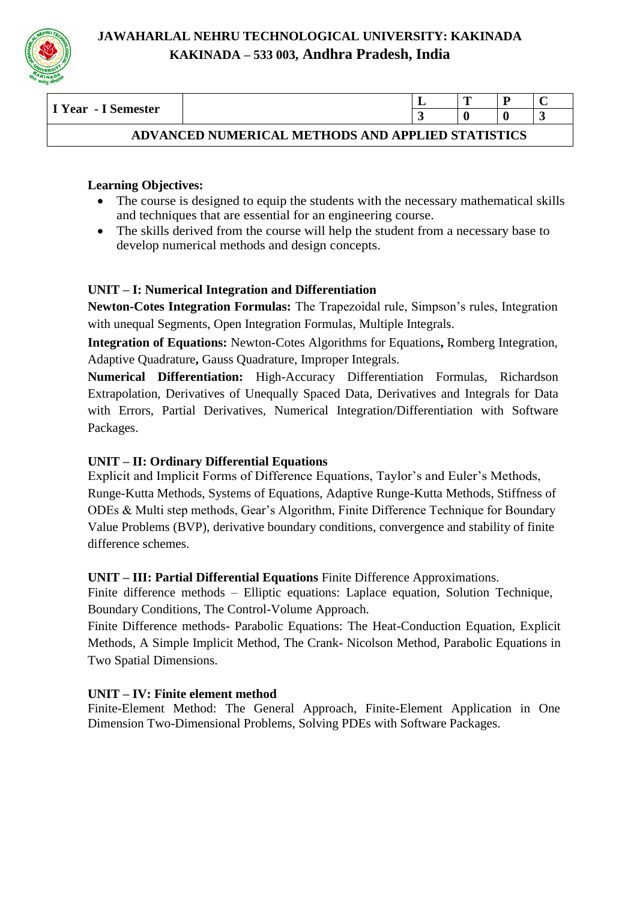

| I Year - I Semester                               |  |  | m |  |  |  |  |  |
|---------------------------------------------------|--|--|---|--|--|--|--|--|
|                                                   |  |  |   |  |  |  |  |  |
| ADVANCED NUMERICAL METHODS AND APPLIED STATISTICS |  |  |   |  |  |  |  |  |

# **Learning Objectives:**

- The course is designed to equip the students with the necessary mathematical skills and techniques that are essential for an engineering course.
- The skills derived from the course will help the student from a necessary base to develop numerical methods and design concepts.

# **UNIT – I: Numerical Integration and Differentiation**

**Newton-Cotes Integration Formulas:** The Trapezoidal rule, Simpson's rules, Integration with unequal Segments, Open Integration Formulas, Multiple Integrals.

**Integration of Equations:** Newton-Cotes Algorithms for Equations**,** Romberg Integration, Adaptive Quadrature**,** Gauss Quadrature, Improper Integrals.

**Numerical Differentiation:** High-Accuracy Differentiation Formulas, Richardson Extrapolation, Derivatives of Unequally Spaced Data, Derivatives and Integrals for Data with Errors, Partial Derivatives, Numerical Integration/Differentiation with Software Packages.

# **UNIT – II: Ordinary Differential Equations**

Explicit and Implicit Forms of Difference Equations, Taylor's and Euler's Methods, Runge-Kutta Methods, Systems of Equations, Adaptive Runge-Kutta Methods, Stiffness of ODEs & Multi step methods, Gear's Algorithm, Finite Difference Technique for Boundary Value Problems (BVP), derivative boundary conditions, convergence and stability of finite difference schemes.

# **UNIT – III: Partial Differential Equations** Finite Difference Approximations.

Finite difference methods – Elliptic equations: Laplace equation, Solution Technique, Boundary Conditions, The Control-Volume Approach.

Finite Difference methods- Parabolic Equations: The Heat-Conduction Equation, Explicit Methods, A Simple Implicit Method, The Crank- Nicolson Method, Parabolic Equations in Two Spatial Dimensions.

# **UNIT – IV: Finite element method**

Finite-Element Method: The General Approach, Finite-Element Application in One Dimension Two-Dimensional Problems, Solving PDEs with Software Packages.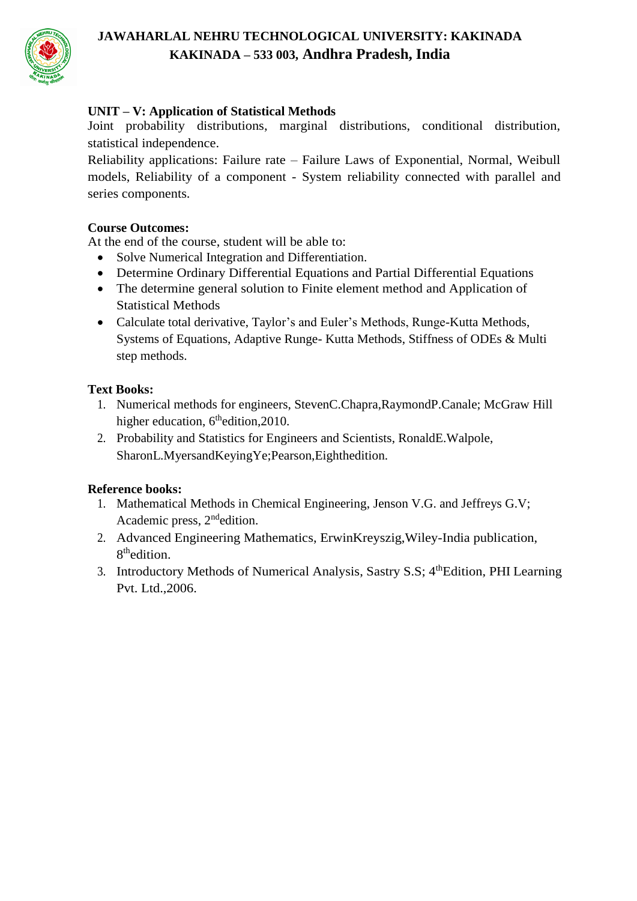

# **UNIT – V: Application of Statistical Methods**

Joint probability distributions, marginal distributions, conditional distribution, statistical independence.

Reliability applications: Failure rate – Failure Laws of Exponential, Normal, Weibull models, Reliability of a component - System reliability connected with parallel and series components.

# **Course Outcomes:**

At the end of the course, student will be able to:

- Solve Numerical Integration and Differentiation.
- Determine Ordinary Differential Equations and Partial Differential Equations
- The determine general solution to Finite element method and Application of Statistical Methods
- Calculate total derivative, Taylor's and Euler's Methods, Runge-Kutta Methods, Systems of Equations, Adaptive Runge- Kutta Methods, Stiffness of ODEs & Multi step methods.

# **Text Books:**

- 1. Numerical methods for engineers, StevenC.Chapra,RaymondP.Canale; McGraw Hill higher education, 6<sup>th</sup>edition, 2010.
- 2. Probability and Statistics for Engineers and Scientists, RonaldE.Walpole, SharonL.MyersandKeyingYe;Pearson,Eighthedition.

# **Reference books:**

- 1. Mathematical Methods in Chemical Engineering, Jenson V.G. and Jeffreys G.V; Academic press, 2<sup>nd</sup>edition.
- 2. Advanced Engineering Mathematics, ErwinKreyszig,Wiley-India publication, 8<sup>th</sup>edition.
- 3. Introductory Methods of Numerical Analysis, Sastry S.S; 4<sup>th</sup>Edition, PHI Learning Pvt. Ltd.,2006.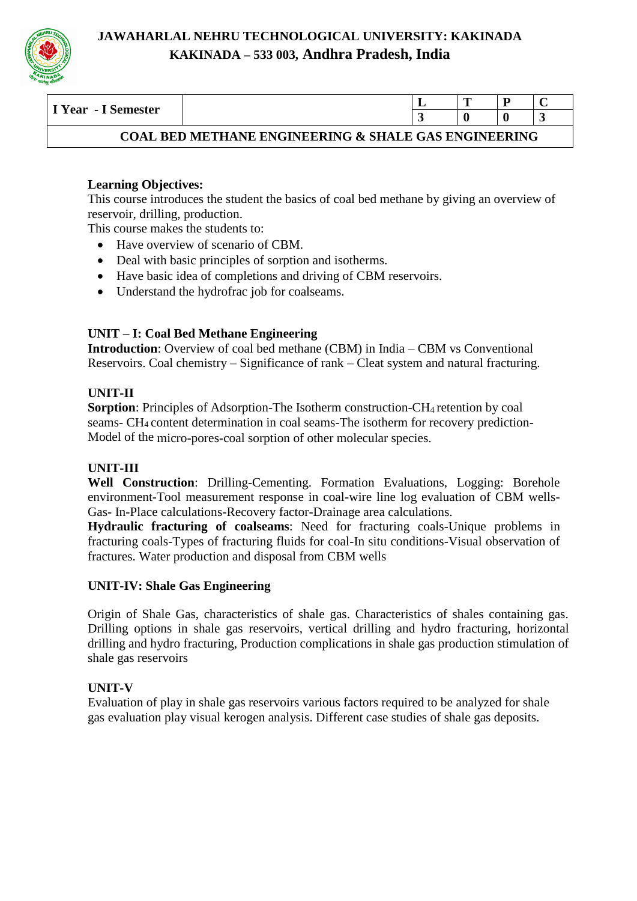

| I Year - I Semester                                       |  |  |  |  |  |  |  |  |
|-----------------------------------------------------------|--|--|--|--|--|--|--|--|
|                                                           |  |  |  |  |  |  |  |  |
| , BED METHANE ENGINEERING & SHALE GAS ENGINEERING<br>COAL |  |  |  |  |  |  |  |  |

#### **Learning Objectives:**

This course introduces the student the basics of coal bed methane by giving an overview of reservoir, drilling, production.

This course makes the students to:

- Have overview of scenario of CBM.
- Deal with basic principles of sorption and isotherms.
- Have basic idea of completions and driving of CBM reservoirs.
- Understand the hydrofrac job for coalseams.

# **UNIT – I: Coal Bed Methane Engineering**

**Introduction**: Overview of coal bed methane (CBM) in India – CBM vs Conventional Reservoirs. Coal chemistry – Significance of rank – Cleat system and natural fracturing.

#### **UNIT-II**

**Sorption**: Principles of Adsorption-The Isotherm construction-CH4 retention by coal seams- CH4 content determination in coal seams-The isotherm for recovery prediction-Model of the micro-pores-coal sorption of other molecular species.

#### **UNIT-III**

**Well Construction**: Drilling-Cementing. Formation Evaluations, Logging: Borehole environment-Tool measurement response in coal-wire line log evaluation of CBM wells-Gas- In-Place calculations-Recovery factor-Drainage area calculations.

**Hydraulic fracturing of coalseams**: Need for fracturing coals-Unique problems in fracturing coals-Types of fracturing fluids for coal-In situ conditions-Visual observation of fractures. Water production and disposal from CBM wells

#### **UNIT-IV: Shale Gas Engineering**

Origin of Shale Gas, characteristics of shale gas. Characteristics of shales containing gas. Drilling options in shale gas reservoirs, vertical drilling and hydro fracturing, horizontal drilling and hydro fracturing, Production complications in shale gas production stimulation of shale gas reservoirs

#### **UNIT-V**

Evaluation of play in shale gas reservoirs various factors required to be analyzed for shale gas evaluation play visual kerogen analysis. Different case studies of shale gas deposits.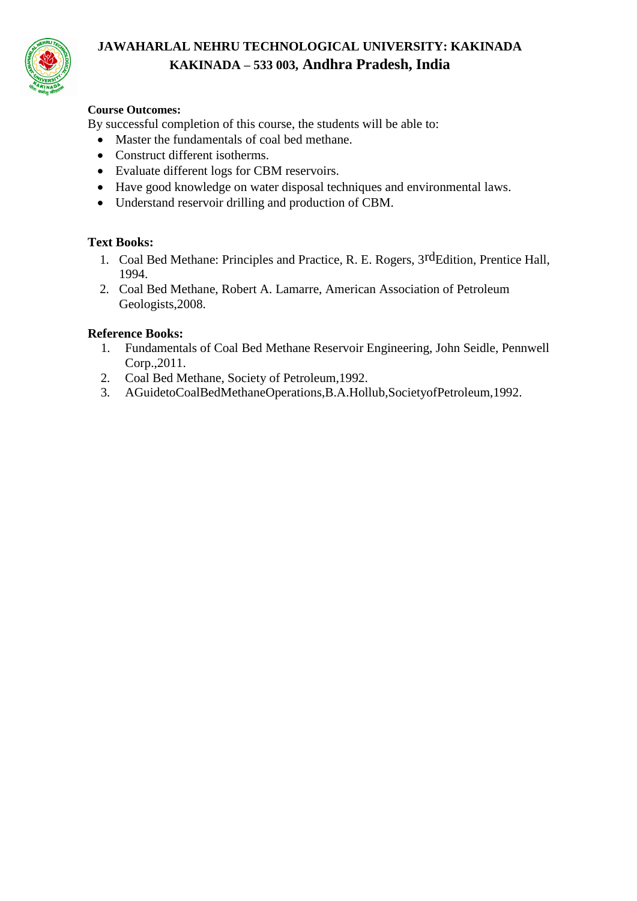

#### **Course Outcomes:**

By successful completion of this course, the students will be able to:

- Master the fundamentals of coal bed methane.
- Construct different isotherms.
- Evaluate different logs for CBM reservoirs.
- Have good knowledge on water disposal techniques and environmental laws.
- Understand reservoir drilling and production of CBM.

# **Text Books:**

- 1. Coal Bed Methane: Principles and Practice, R. E. Rogers, 3rdEdition, Prentice Hall, 1994.
- 2. Coal Bed Methane, Robert A. Lamarre, American Association of Petroleum Geologists,2008.

#### **Reference Books:**

- 1. Fundamentals of Coal Bed Methane Reservoir Engineering, John Seidle, Pennwell Corp.,2011.
- 2. Coal Bed Methane, Society of Petroleum,1992.
- 3. AGuidetoCoalBedMethaneOperations,B.A.Hollub,SocietyofPetroleum,1992.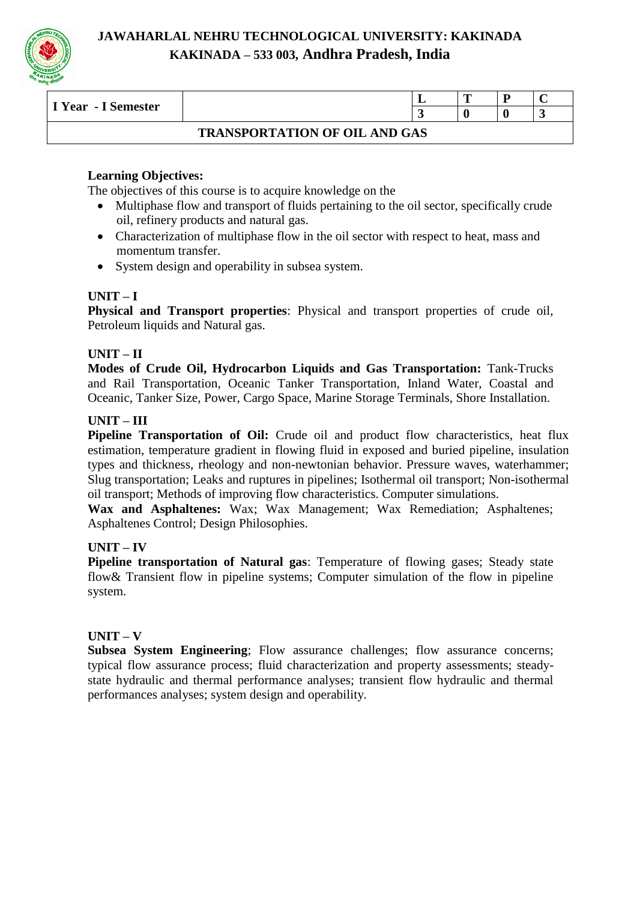

| I Year - I Semester                  |  |  | m |  |  |  |  |  |  |
|--------------------------------------|--|--|---|--|--|--|--|--|--|
|                                      |  |  |   |  |  |  |  |  |  |
| <b>TRANSPORTATION OF OIL AND GAS</b> |  |  |   |  |  |  |  |  |  |

# **Learning Objectives:**

The objectives of this course is to acquire knowledge on the

- Multiphase flow and transport of fluids pertaining to the oil sector, specifically crude oil, refinery products and natural gas.
- Characterization of multiphase flow in the oil sector with respect to heat, mass and momentum transfer.
- System design and operability in subsea system.

# **UNIT – I**

**Physical and Transport properties**: Physical and transport properties of crude oil, Petroleum liquids and Natural gas.

#### **UNIT – II**

**Modes of Crude Oil, Hydrocarbon Liquids and Gas Transportation:** Tank-Trucks and Rail Transportation, Oceanic Tanker Transportation, Inland Water, Coastal and Oceanic, Tanker Size, Power, Cargo Space, Marine Storage Terminals, Shore Installation.

#### **UNIT – III**

**Pipeline Transportation of Oil:** Crude oil and product flow characteristics, heat flux estimation, temperature gradient in flowing fluid in exposed and buried pipeline, insulation types and thickness, rheology and non-newtonian behavior. Pressure waves, waterhammer; Slug transportation; Leaks and ruptures in pipelines; Isothermal oil transport; Non-isothermal oil transport; Methods of improving flow characteristics. Computer simulations.

**Wax and Asphaltenes:** Wax; Wax Management; Wax Remediation; Asphaltenes; Asphaltenes Control; Design Philosophies.

#### **UNIT – IV**

**Pipeline transportation of Natural gas**: Temperature of flowing gases; Steady state flow& Transient flow in pipeline systems; Computer simulation of the flow in pipeline system.

# **UNIT – V**

**Subsea System Engineering**; Flow assurance challenges; flow assurance concerns; typical flow assurance process; fluid characterization and property assessments; steadystate hydraulic and thermal performance analyses; transient flow hydraulic and thermal performances analyses; system design and operability.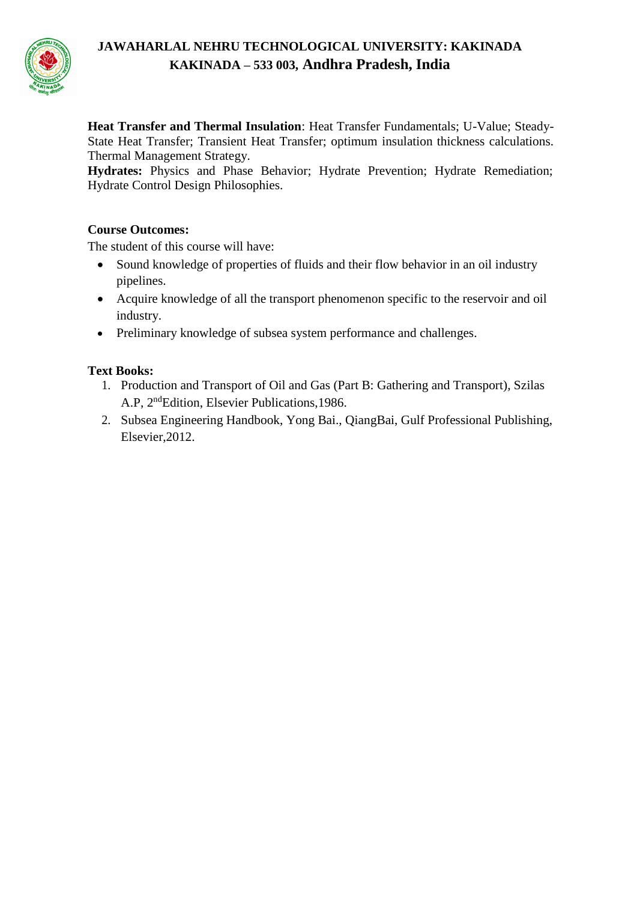

**Heat Transfer and Thermal Insulation**: Heat Transfer Fundamentals; U-Value; Steady-State Heat Transfer; Transient Heat Transfer; optimum insulation thickness calculations. Thermal Management Strategy.

**Hydrates:** Physics and Phase Behavior; Hydrate Prevention; Hydrate Remediation; Hydrate Control Design Philosophies.

# **Course Outcomes:**

The student of this course will have:

- Sound knowledge of properties of fluids and their flow behavior in an oil industry pipelines.
- Acquire knowledge of all the transport phenomenon specific to the reservoir and oil industry.
- Preliminary knowledge of subsea system performance and challenges.

# **Text Books:**

- 1. Production and Transport of Oil and Gas (Part B: Gathering and Transport), Szilas A.P, 2<sup>nd</sup>Edition, Elsevier Publications, 1986.
- 2. Subsea Engineering Handbook, Yong Bai., QiangBai, Gulf Professional Publishing, Elsevier,2012.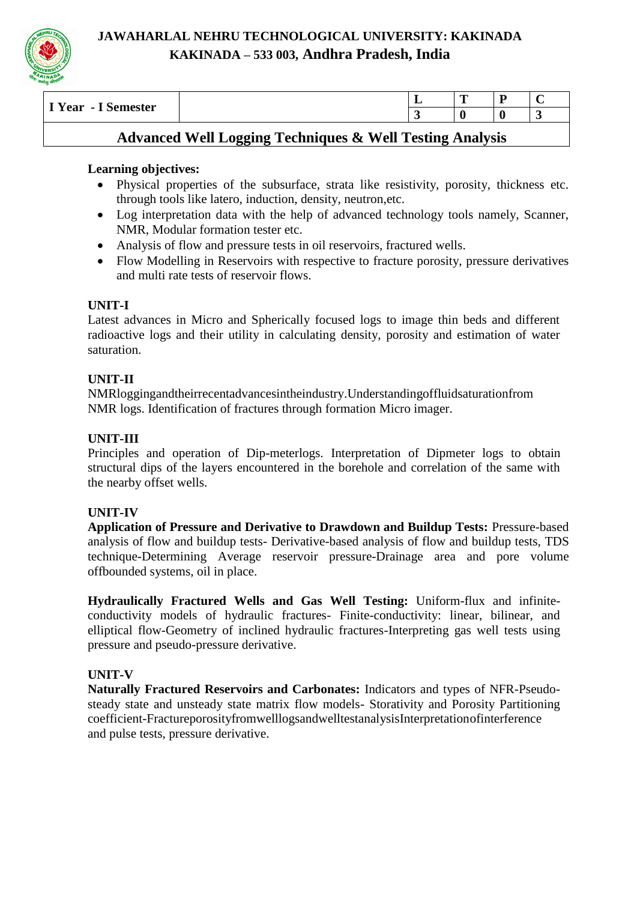

| $- - -$<br>$\sim$<br>Semester<br>Year<br>- 1<br>-<br>~ | - |  |
|--------------------------------------------------------|---|--|
|                                                        |   |  |

# **Advanced Well Logging Techniques & Well Testing Analysis**

# **Learning objectives:**

- Physical properties of the subsurface, strata like resistivity, porosity, thickness etc. through tools like latero, induction, density, neutron,etc.
- Log interpretation data with the help of advanced technology tools namely, Scanner, NMR, Modular formation tester etc.
- Analysis of flow and pressure tests in oil reservoirs, fractured wells.
- Flow Modelling in Reservoirs with respective to fracture porosity, pressure derivatives and multi rate tests of reservoir flows.

# **UNIT-I**

Latest advances in Micro and Spherically focused logs to image thin beds and different radioactive logs and their utility in calculating density, porosity and estimation of water saturation.

# **UNIT-II**

NMRloggingandtheirrecentadvancesintheindustry.Understandingoffluidsaturationfrom NMR logs. Identification of fractures through formation Micro imager.

# **UNIT-III**

Principles and operation of Dip-meterlogs. Interpretation of Dipmeter logs to obtain structural dips of the layers encountered in the borehole and correlation of the same with the nearby offset wells.

# **UNIT-IV**

**Application of Pressure and Derivative to Drawdown and Buildup Tests:** Pressure-based analysis of flow and buildup tests- Derivative-based analysis of flow and buildup tests, TDS technique-Determining Average reservoir pressure-Drainage area and pore volume offbounded systems, oil in place.

**Hydraulically Fractured Wells and Gas Well Testing:** Uniform-flux and infiniteconductivity models of hydraulic fractures- Finite-conductivity: linear, bilinear, and elliptical flow-Geometry of inclined hydraulic fractures-Interpreting gas well tests using pressure and pseudo-pressure derivative.

# **UNIT-V**

**Naturally Fractured Reservoirs and Carbonates:** Indicators and types of NFR-Pseudosteady state and unsteady state matrix flow models- Storativity and Porosity Partitioning coefficient-FractureporosityfromwelllogsandwelltestanalysisInterpretationofinterference and pulse tests, pressure derivative.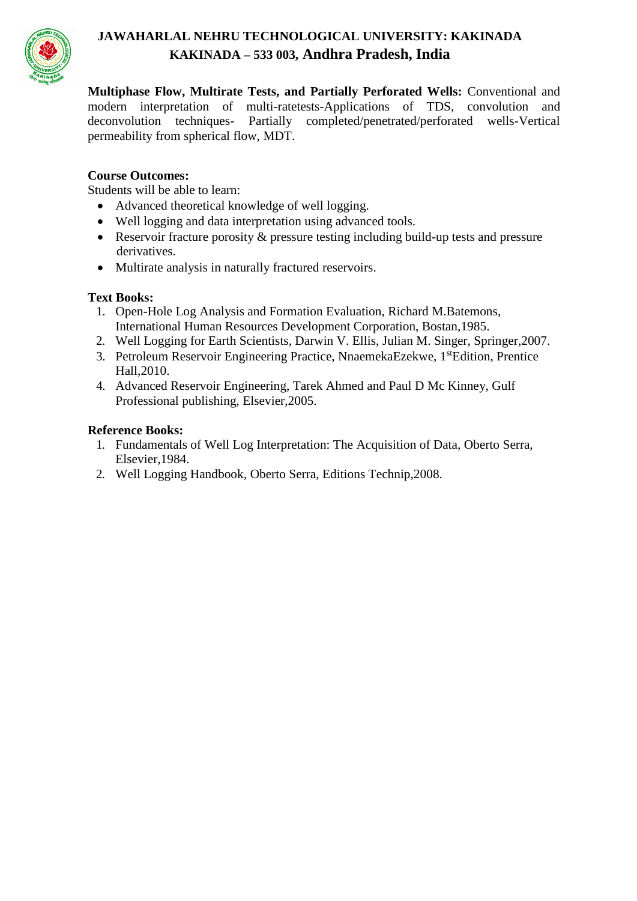

**Multiphase Flow, Multirate Tests, and Partially Perforated Wells:** Conventional and modern interpretation of multi-ratetests-Applications of TDS, convolution and deconvolution techniques- Partially completed/penetrated/perforated wells-Vertical permeability from spherical flow, MDT.

#### **Course Outcomes:**

Students will be able to learn:

- Advanced theoretical knowledge of well logging.
- Well logging and data interpretation using advanced tools.
- Reservoir fracture porosity & pressure testing including build-up tests and pressure derivatives.
- Multirate analysis in naturally fractured reservoirs.

#### **Text Books:**

- 1. Open-Hole Log Analysis and Formation Evaluation, Richard M.Batemons, International Human Resources Development Corporation, Bostan,1985.
- 2. Well Logging for Earth Scientists, Darwin V. Ellis, Julian M. Singer, Springer,2007.
- 3. Petroleum Reservoir Engineering Practice, NnaemekaEzekwe, 1<sup>st</sup>Edition, Prentice Hall,2010.
- 4. Advanced Reservoir Engineering, Tarek Ahmed and Paul D Mc Kinney, Gulf Professional publishing, Elsevier,2005.

#### **Reference Books:**

- 1. Fundamentals of Well Log Interpretation: The Acquisition of Data, Oberto Serra, Elsevier,1984.
- 2. Well Logging Handbook, Oberto Serra, Editions Technip,2008.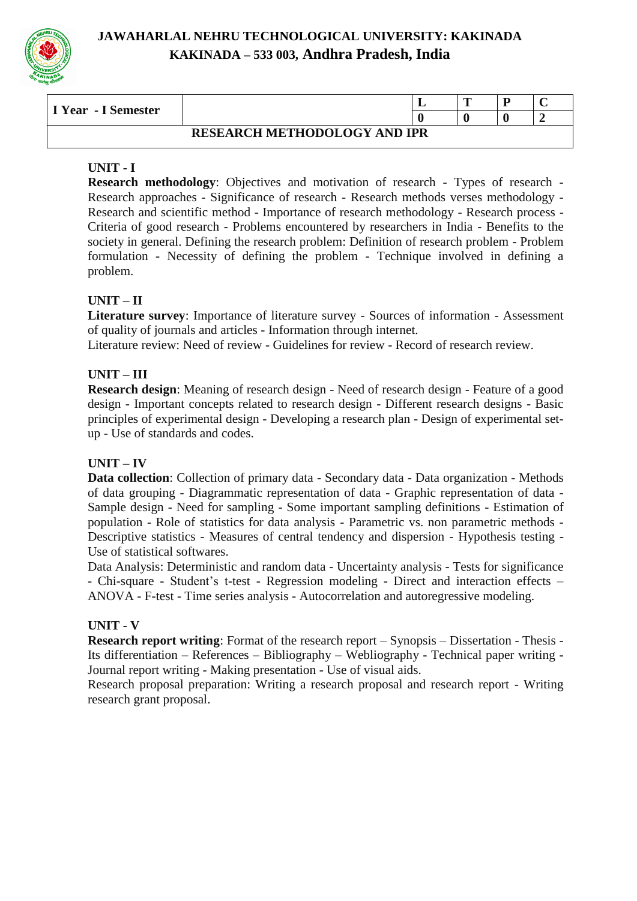

| I Year - I Semester                 |  |  | $\overline{ }$ |  |  |
|-------------------------------------|--|--|----------------|--|--|
|                                     |  |  |                |  |  |
| <b>RESEARCH METHODOLOGY AND IPR</b> |  |  |                |  |  |

# **UNIT - I**

**Research methodology**: Objectives and motivation of research - Types of research - Research approaches - Significance of research - Research methods verses methodology - Research and scientific method - Importance of research methodology - Research process - Criteria of good research - Problems encountered by researchers in India - Benefits to the society in general. Defining the research problem: Definition of research problem - Problem formulation - Necessity of defining the problem - Technique involved in defining a problem.

# **UNIT – II**

**Literature survey**: Importance of literature survey - Sources of information - Assessment of quality of journals and articles - Information through internet.

Literature review: Need of review - Guidelines for review - Record of research review.

# **UNIT – III**

**Research design**: Meaning of research design - Need of research design - Feature of a good design - Important concepts related to research design - Different research designs - Basic principles of experimental design - Developing a research plan - Design of experimental setup - Use of standards and codes.

# **UNIT – IV**

**Data collection**: Collection of primary data - Secondary data - Data organization - Methods of data grouping - Diagrammatic representation of data - Graphic representation of data - Sample design - Need for sampling - Some important sampling definitions - Estimation of population - Role of statistics for data analysis - Parametric vs. non parametric methods - Descriptive statistics - Measures of central tendency and dispersion - Hypothesis testing - Use of statistical softwares.

Data Analysis: Deterministic and random data - Uncertainty analysis - Tests for significance - Chi-square - Student's t-test - Regression modeling - Direct and interaction effects – ANOVA - F-test - Time series analysis - Autocorrelation and autoregressive modeling.

# **UNIT - V**

**Research report writing**: Format of the research report – Synopsis – Dissertation - Thesis - Its differentiation – References – Bibliography – Webliography - Technical paper writing - Journal report writing - Making presentation - Use of visual aids.

Research proposal preparation: Writing a research proposal and research report - Writing research grant proposal.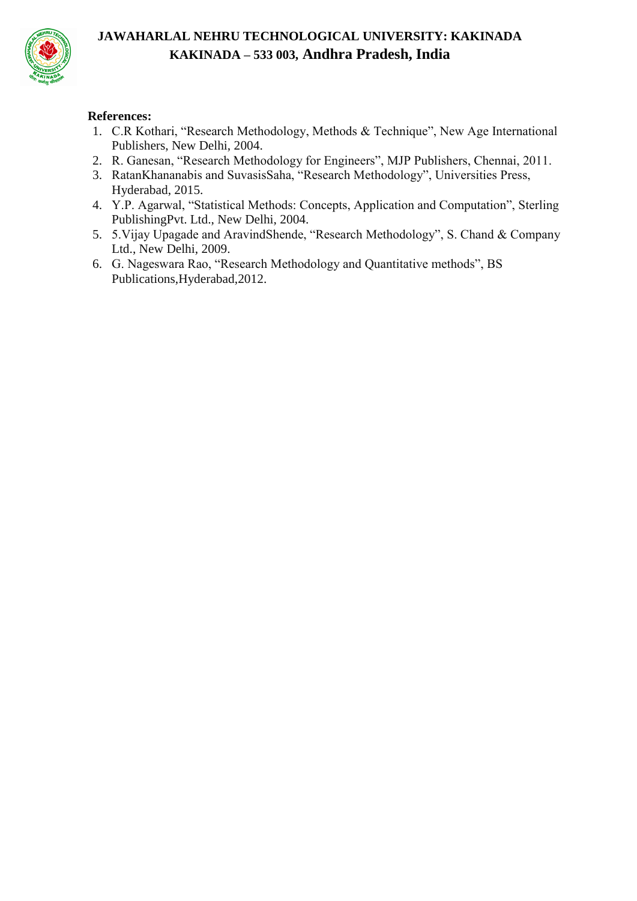

### **References:**

- 1. C.R Kothari, "Research Methodology, Methods & Technique", New Age International Publishers, New Delhi, 2004.
- 2. R. Ganesan, "Research Methodology for Engineers", MJP Publishers, Chennai, 2011.
- 3. RatanKhananabis and SuvasisSaha, "Research Methodology", Universities Press, Hyderabad, 2015.
- 4. Y.P. Agarwal, "Statistical Methods: Concepts, Application and Computation", Sterling PublishingPvt. Ltd., New Delhi, 2004.
- 5. 5.Vijay Upagade and AravindShende, "Research Methodology", S. Chand & Company Ltd., New Delhi, 2009.
- 6. G. Nageswara Rao, "Research Methodology and Quantitative methods", BS Publications,Hyderabad,2012.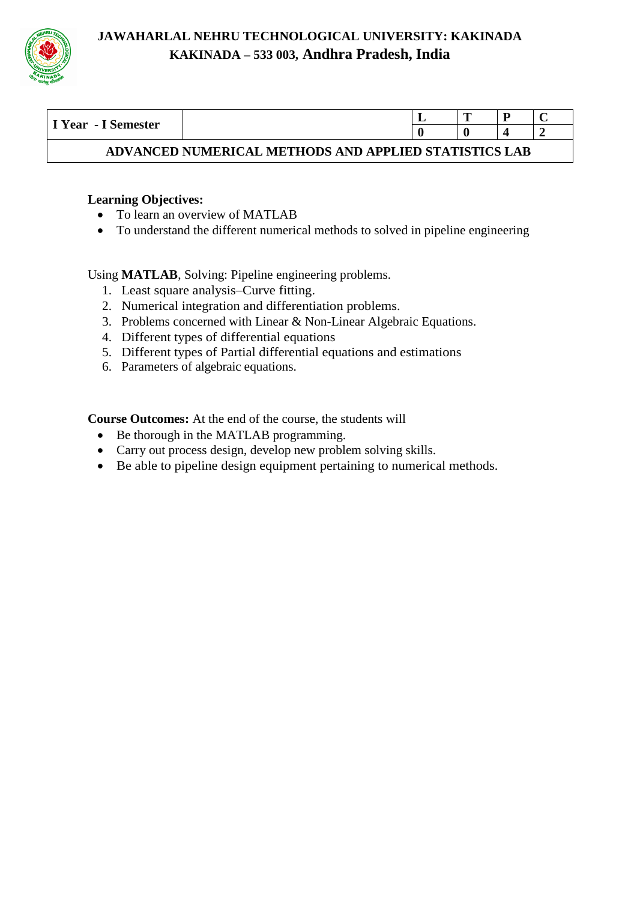

| I Year - I Semester                                   |  |  |  |  |  |  |  |  |  |
|-------------------------------------------------------|--|--|--|--|--|--|--|--|--|
|                                                       |  |  |  |  |  |  |  |  |  |
| ADVANCED NUMERICAL METHODS AND APPLIED STATISTICS LAB |  |  |  |  |  |  |  |  |  |

# **Learning Objectives:**

- To learn an overview of MATLAB
- To understand the different numerical methods to solved in pipeline engineering

Using **MATLAB**, Solving: Pipeline engineering problems.

- 1. Least square analysis–Curve fitting.
- 2. Numerical integration and differentiation problems.
- 3. Problems concerned with Linear & Non-Linear Algebraic Equations.
- 4. Different types of differential equations
- 5. Different types of Partial differential equations and estimations
- 6. Parameters of algebraic equations.

**Course Outcomes:** At the end of the course, the students will

- Be thorough in the MATLAB programming.
- Carry out process design, develop new problem solving skills.
- Be able to pipeline design equipment pertaining to numerical methods.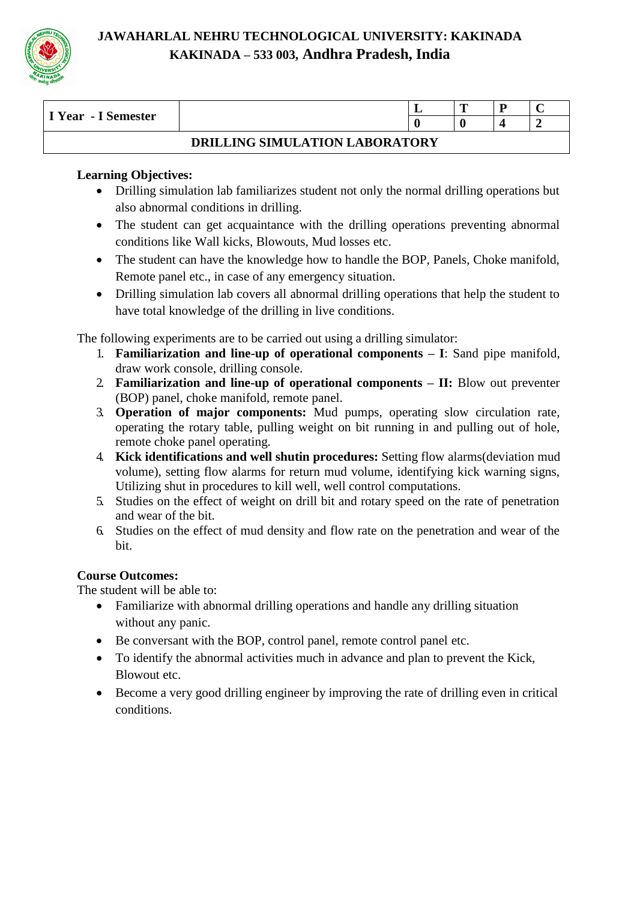

| I Year - I Semester            |  | ≖ | m |  |  |  |  |  |
|--------------------------------|--|---|---|--|--|--|--|--|
|                                |  |   |   |  |  |  |  |  |
| DRILLING SIMULATION LABORATORY |  |   |   |  |  |  |  |  |

# **Learning Objectives:**

- Drilling simulation lab familiarizes student not only the normal drilling operations but also abnormal conditions in drilling.
- The student can get acquaintance with the drilling operations preventing abnormal conditions like Wall kicks, Blowouts, Mud losses etc.
- The student can have the knowledge how to handle the BOP, Panels, Choke manifold, Remote panel etc., in case of any emergency situation.
- Drilling simulation lab covers all abnormal drilling operations that help the student to have total knowledge of the drilling in live conditions.

The following experiments are to be carried out using a drilling simulator:

- 1. **Familiarization and line-up of operational components – I**: Sand pipe manifold, draw work console, drilling console.
- 2. **Familiarization and line-up of operational components – II:** Blow out preventer (BOP) panel, choke manifold, remote panel.
- 3. **Operation of major components:** Mud pumps, operating slow circulation rate, operating the rotary table, pulling weight on bit running in and pulling out of hole, remote choke panel operating.
- 4. **Kick identifications and well shutin procedures:** Setting flow alarms(deviation mud volume), setting flow alarms for return mud volume, identifying kick warning signs, Utilizing shut in procedures to kill well, well control computations.
- 5. Studies on the effect of weight on drill bit and rotary speed on the rate of penetration and wear of the bit.
- 6. Studies on the effect of mud density and flow rate on the penetration and wear of the bit.

# **Course Outcomes:**

The student will be able to:

- Familiarize with abnormal drilling operations and handle any drilling situation without any panic.
- Be conversant with the BOP, control panel, remote control panel etc.
- To identify the abnormal activities much in advance and plan to prevent the Kick, Blowout etc.
- Become a very good drilling engineer by improving the rate of drilling even in critical conditions.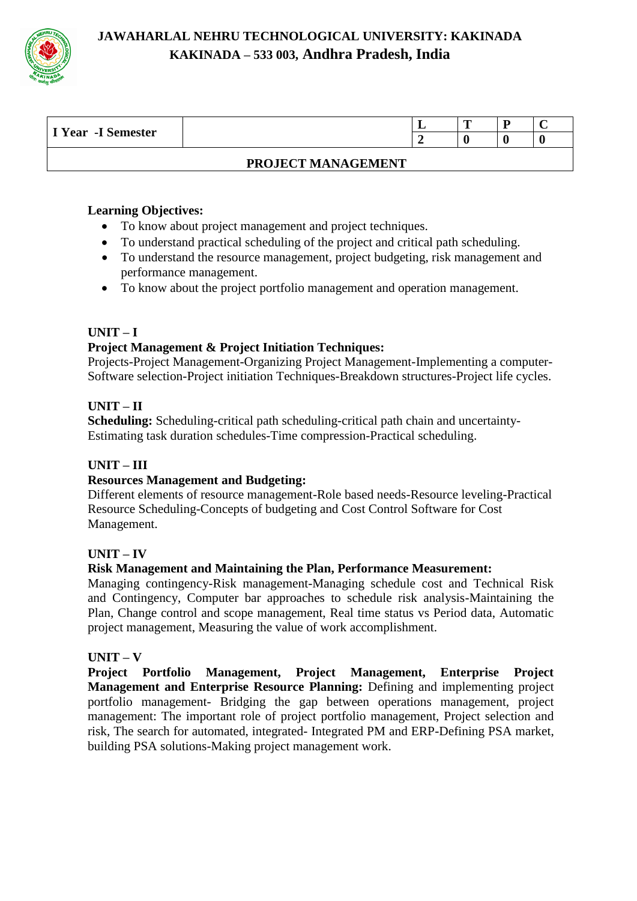

| I Year -I Semester |                    | ┻ | m | 'n |  |
|--------------------|--------------------|---|---|----|--|
|                    |                    |   |   |    |  |
|                    | PROJECT MANAGEMENT |   |   |    |  |

#### **Learning Objectives:**

- To know about project management and project techniques.
- To understand practical scheduling of the project and critical path scheduling.
- To understand the resource management, project budgeting, risk management and performance management.
- To know about the project portfolio management and operation management.

#### **UNIT – I**

#### **Project Management & Project Initiation Techniques:**

Projects-Project Management-Organizing Project Management-Implementing a computer-Software selection-Project initiation Techniques-Breakdown structures-Project life cycles.

#### **UNIT – II**

**Scheduling:** Scheduling-critical path scheduling-critical path chain and uncertainty-Estimating task duration schedules-Time compression-Practical scheduling.

#### **UNIT – III**

#### **Resources Management and Budgeting:**

Different elements of resource management-Role based needs-Resource leveling-Practical Resource Scheduling-Concepts of budgeting and Cost Control Software for Cost Management.

#### **UNIT – IV**

#### **Risk Management and Maintaining the Plan, Performance Measurement:**

Managing contingency-Risk management-Managing schedule cost and Technical Risk and Contingency, Computer bar approaches to schedule risk analysis-Maintaining the Plan, Change control and scope management, Real time status vs Period data, Automatic project management, Measuring the value of work accomplishment.

#### **UNIT – V**

**Project Portfolio Management, Project Management, Enterprise Project Management and Enterprise Resource Planning:** Defining and implementing project portfolio management- Bridging the gap between operations management, project management: The important role of project portfolio management, Project selection and risk, The search for automated, integrated- Integrated PM and ERP-Defining PSA market, building PSA solutions-Making project management work.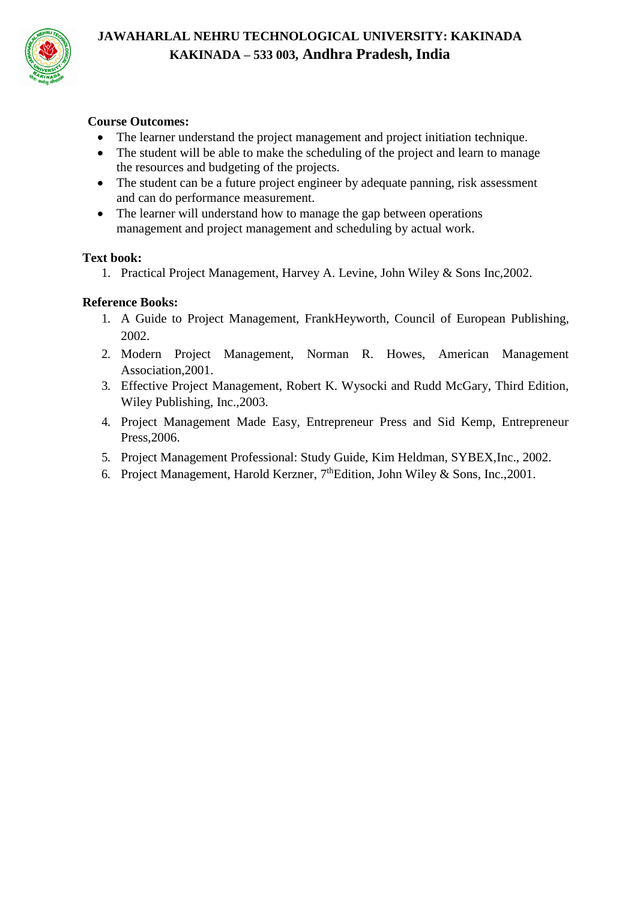

### **Course Outcomes:**

- The learner understand the project management and project initiation technique.
- The student will be able to make the scheduling of the project and learn to manage the resources and budgeting of the projects.
- The student can be a future project engineer by adequate panning, risk assessment and can do performance measurement.
- The learner will understand how to manage the gap between operations management and project management and scheduling by actual work.

#### **Text book:**

1. Practical Project Management, Harvey A. Levine, John Wiley & Sons Inc,2002.

# **Reference Books:**

- 1. A Guide to Project Management, FrankHeyworth, Council of European Publishing, 2002.
- 2. Modern Project Management, Norman R. Howes, American Management Association,2001.
- 3. Effective Project Management, Robert K. Wysocki and Rudd McGary, Third Edition, Wiley Publishing, Inc.,2003.
- 4. Project Management Made Easy, Entrepreneur Press and Sid Kemp, Entrepreneur Press,2006.
- 5. Project Management Professional: Study Guide, Kim Heldman, SYBEX,Inc., 2002.
- 6. Project Management, Harold Kerzner,  $7<sup>th</sup>$ Edition, John Wiley & Sons, Inc., 2001.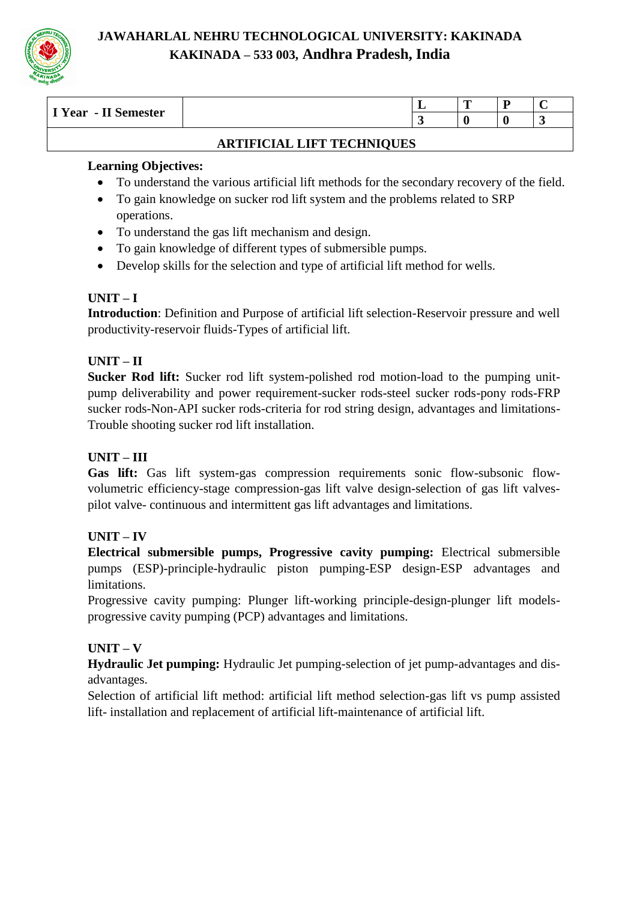

| $- - -$<br>$\overline{\mathbf{x}}$<br>emester<br>1 Year<br>$\blacksquare$<br>11 Qt | - | m<br><u>_</u> | $\overline{\phantom{a}}$ |  |
|------------------------------------------------------------------------------------|---|---------------|--------------------------|--|
|                                                                                    |   |               |                          |  |
|                                                                                    |   |               |                          |  |

# **ARTIFICIAL LIFT TECHNIQUES**

# **Learning Objectives:**

- To understand the various artificial lift methods for the secondary recovery of the field.
- To gain knowledge on sucker rod lift system and the problems related to SRP operations.
- To understand the gas lift mechanism and design.
- To gain knowledge of different types of submersible pumps.
- Develop skills for the selection and type of artificial lift method for wells.

# **UNIT – I**

**Introduction**: Definition and Purpose of artificial lift selection-Reservoir pressure and well productivity-reservoir fluids-Types of artificial lift.

# **UNIT – II**

**Sucker Rod lift:** Sucker rod lift system-polished rod motion-load to the pumping unitpump deliverability and power requirement-sucker rods-steel sucker rods-pony rods-FRP sucker rods-Non-API sucker rods-criteria for rod string design, advantages and limitations-Trouble shooting sucker rod lift installation.

# **UNIT – III**

Gas lift: Gas lift system-gas compression requirements sonic flow-subsonic flowvolumetric efficiency-stage compression-gas lift valve design-selection of gas lift valvespilot valve- continuous and intermittent gas lift advantages and limitations.

# **UNIT – IV**

**Electrical submersible pumps, Progressive cavity pumping:** Electrical submersible pumps (ESP)-principle-hydraulic piston pumping-ESP design-ESP advantages and limitations.

Progressive cavity pumping: Plunger lift-working principle-design-plunger lift modelsprogressive cavity pumping (PCP) advantages and limitations.

# **UNIT – V**

**Hydraulic Jet pumping:** Hydraulic Jet pumping-selection of jet pump-advantages and disadvantages.

Selection of artificial lift method: artificial lift method selection-gas lift vs pump assisted lift- installation and replacement of artificial lift-maintenance of artificial lift.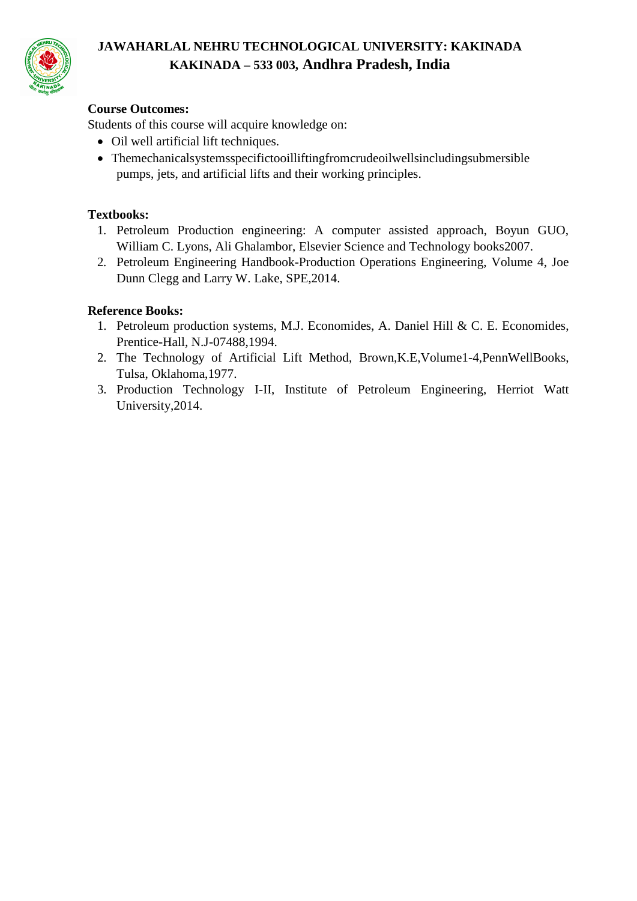

# **Course Outcomes:**

Students of this course will acquire knowledge on:

- Oil well artificial lift techniques.
- Themechanicalsystemsspecifictooilliftingfromcrudeoilwellsincludingsubmersible pumps, jets, and artificial lifts and their working principles.

# **Textbooks:**

- 1. Petroleum Production engineering: A computer assisted approach, Boyun GUO, William C. Lyons, Ali Ghalambor, Elsevier Science and Technology books2007.
- 2. Petroleum Engineering Handbook-Production Operations Engineering, Volume 4, Joe Dunn Clegg and Larry W. Lake, SPE,2014.

# **Reference Books:**

- 1. Petroleum production systems, M.J. Economides, A. Daniel Hill & C. E. Economides, Prentice-Hall, N.J-07488,1994.
- 2. The Technology of Artificial Lift Method, Brown,K.E,Volume1-4,PennWellBooks, Tulsa, Oklahoma,1977.
- 3. Production Technology I-II, Institute of Petroleum Engineering, Herriot Watt University,2014.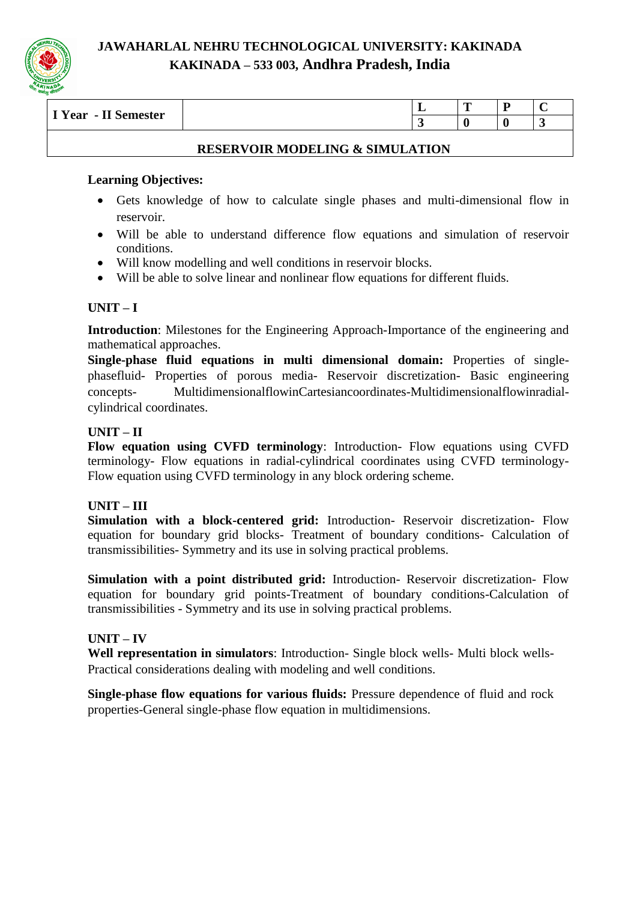

| $- - -$<br>T T T<br>II Semester<br>. Year<br>- 1 |           | <b>CONTRACTOR</b> |  |
|--------------------------------------------------|-----------|-------------------|--|
|                                                  | $\bullet$ |                   |  |
|                                                  |           |                   |  |

#### **RESERVOIR MODELING & SIMULATION**

#### **Learning Objectives:**

- Gets knowledge of how to calculate single phases and multi-dimensional flow in reservoir.
- Will be able to understand difference flow equations and simulation of reservoir conditions.
- Will know modelling and well conditions in reservoir blocks.
- Will be able to solve linear and nonlinear flow equations for different fluids.

# **UNIT – I**

**Introduction**: Milestones for the Engineering Approach-Importance of the engineering and mathematical approaches.

**Single-phase fluid equations in multi dimensional domain:** Properties of singlephasefluid- Properties of porous media- Reservoir discretization- Basic engineering concepts- MultidimensionalflowinCartesiancoordinates-Multidimensionalflowinradialcylindrical coordinates.

# **UNIT – II**

**Flow equation using CVFD terminology**: Introduction- Flow equations using CVFD terminology- Flow equations in radial-cylindrical coordinates using CVFD terminology-Flow equation using CVFD terminology in any block ordering scheme.

# **UNIT – III**

**Simulation with a block-centered grid:** Introduction- Reservoir discretization- Flow equation for boundary grid blocks- Treatment of boundary conditions- Calculation of transmissibilities- Symmetry and its use in solving practical problems.

**Simulation with a point distributed grid:** Introduction- Reservoir discretization- Flow equation for boundary grid points-Treatment of boundary conditions-Calculation of transmissibilities - Symmetry and its use in solving practical problems.

# **UNIT – IV**

**Well representation in simulators**: Introduction- Single block wells- Multi block wells-Practical considerations dealing with modeling and well conditions.

**Single-phase flow equations for various fluids:** Pressure dependence of fluid and rock properties-General single-phase flow equation in multidimensions.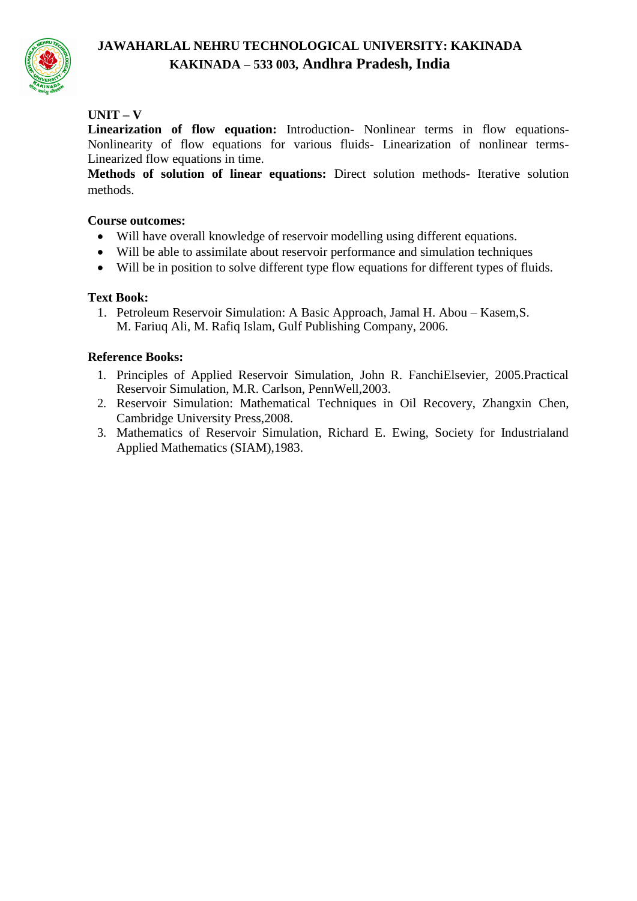

# $UNIT - V$

**Linearization of flow equation:** Introduction- Nonlinear terms in flow equations-Nonlinearity of flow equations for various fluids- Linearization of nonlinear terms-Linearized flow equations in time.

**Methods of solution of linear equations:** Direct solution methods- Iterative solution methods.

# **Course outcomes:**

- Will have overall knowledge of reservoir modelling using different equations.
- Will be able to assimilate about reservoir performance and simulation techniques
- Will be in position to solve different type flow equations for different types of fluids.

# **Text Book:**

1. Petroleum Reservoir Simulation: A Basic Approach, Jamal H. Abou – Kasem,S. M. Fariuq Ali, M. Rafiq Islam, Gulf Publishing Company, 2006.

# **Reference Books:**

- 1. Principles of Applied Reservoir Simulation, John R. FanchiElsevier, 2005.Practical Reservoir Simulation, M.R. Carlson, PennWell,2003.
- 2. Reservoir Simulation: Mathematical Techniques in Oil Recovery, Zhangxin Chen, Cambridge University Press,2008.
- 3. Mathematics of Reservoir Simulation, Richard E. Ewing, Society for Industrialand Applied Mathematics (SIAM),1983.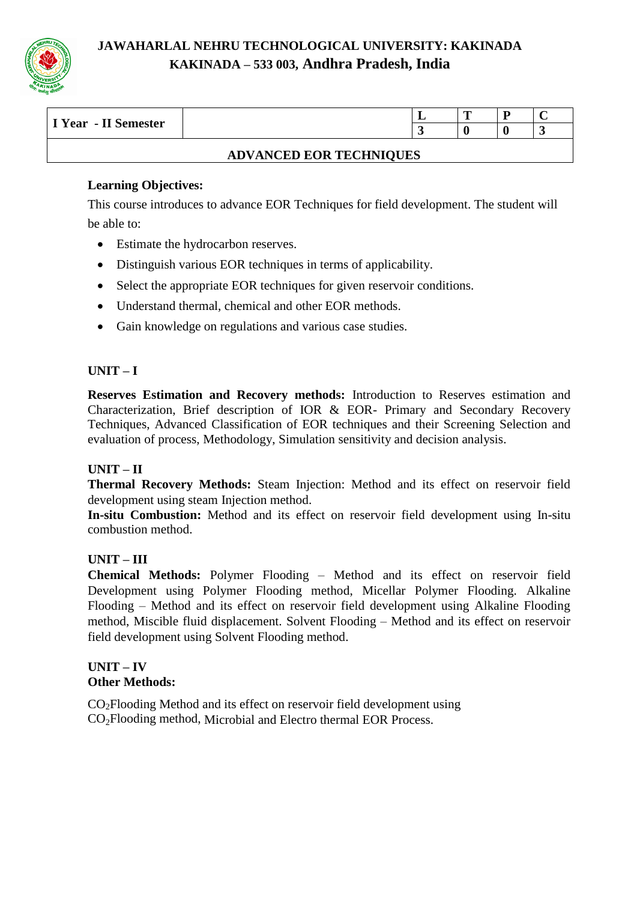

| $\sim$<br>$\mathbf{v}$<br>II Semester<br>Year | - | m<br>≖ |  |
|-----------------------------------------------|---|--------|--|
|                                               |   |        |  |
|                                               |   |        |  |

#### **ADVANCED EOR TECHNIQUES**

# **Learning Objectives:**

This course introduces to advance EOR Techniques for field development. The student will be able to:

- Estimate the hydrocarbon reserves.
- Distinguish various EOR techniques in terms of applicability.
- Select the appropriate EOR techniques for given reservoir conditions.
- Understand thermal, chemical and other EOR methods.
- Gain knowledge on regulations and various case studies.

# **UNIT – I**

**Reserves Estimation and Recovery methods:** Introduction to Reserves estimation and Characterization, Brief description of IOR & EOR- Primary and Secondary Recovery Techniques, Advanced Classification of EOR techniques and their Screening Selection and evaluation of process, Methodology, Simulation sensitivity and decision analysis.

# **UNIT – II**

**Thermal Recovery Methods:** Steam Injection: Method and its effect on reservoir field development using steam Injection method.

**In-situ Combustion:** Method and its effect on reservoir field development using In-situ combustion method.

# **UNIT – III**

**Chemical Methods:** Polymer Flooding – Method and its effect on reservoir field Development using Polymer Flooding method, Micellar Polymer Flooding. Alkaline Flooding – Method and its effect on reservoir field development using Alkaline Flooding method, Miscible fluid displacement. Solvent Flooding – Method and its effect on reservoir field development using Solvent Flooding method.

#### **UNIT – IV Other Methods:**

CO2Flooding Method and its effect on reservoir field development using CO2Flooding method, Microbial and Electro thermal EOR Process.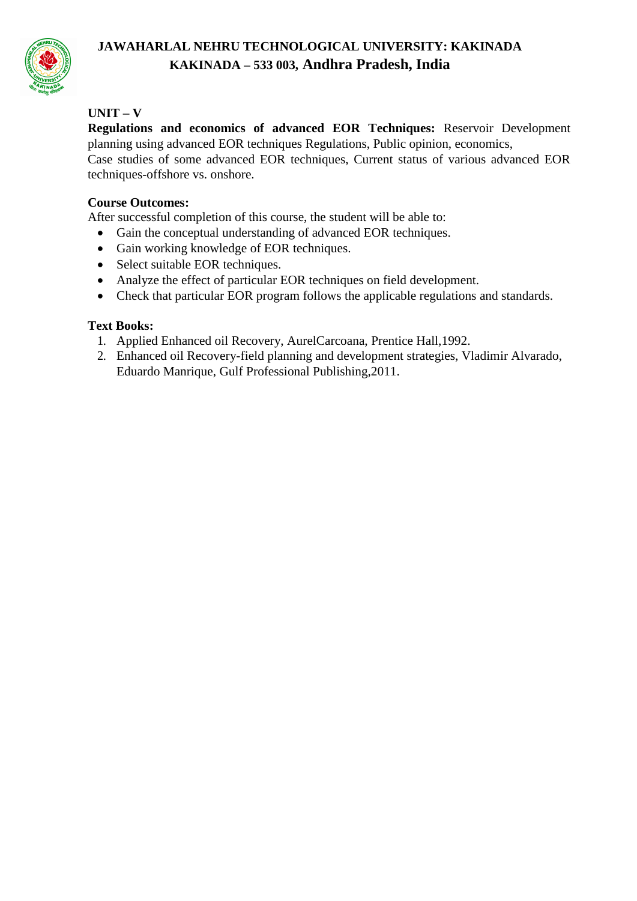

# **UNIT – V**

**Regulations and economics of advanced EOR Techniques:** Reservoir Development planning using advanced EOR techniques Regulations, Public opinion, economics, Case studies of some advanced EOR techniques, Current status of various advanced EOR techniques-offshore vs. onshore.

# **Course Outcomes:**

After successful completion of this course, the student will be able to:

- Gain the conceptual understanding of advanced EOR techniques.
- Gain working knowledge of EOR techniques.
- Select suitable EOR techniques.
- Analyze the effect of particular EOR techniques on field development.
- Check that particular EOR program follows the applicable regulations and standards.

# **Text Books:**

- 1. Applied Enhanced oil Recovery, AurelCarcoana, Prentice Hall,1992.
- 2. Enhanced oil Recovery-field planning and development strategies, Vladimir Alvarado, Eduardo Manrique, Gulf Professional Publishing,2011.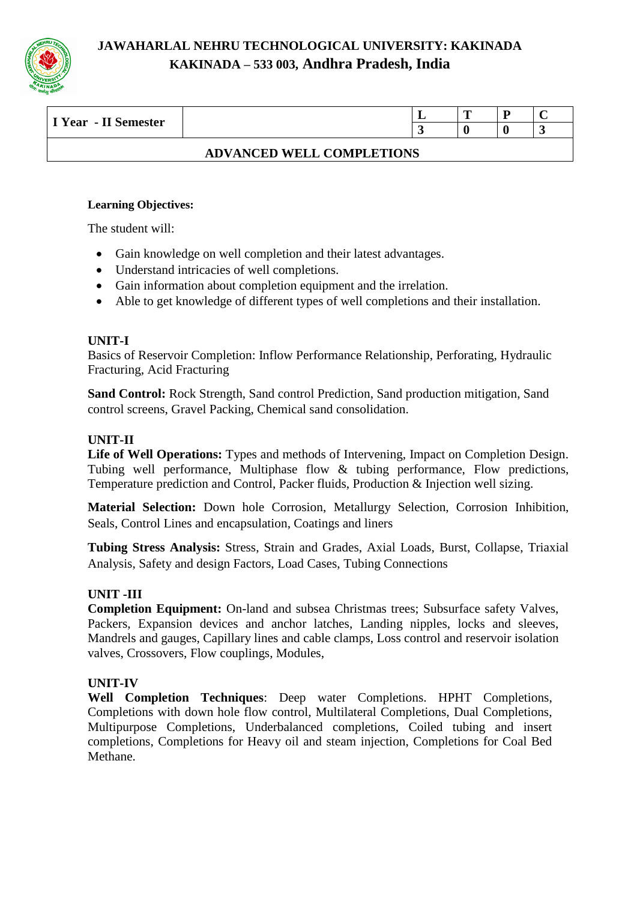

| - II Semester<br>I Year |  | m | ╼ |  |
|-------------------------|--|---|---|--|
|                         |  |   |   |  |
|                         |  |   |   |  |

### **ADVANCED WELL COMPLETIONS**

#### **Learning Objectives:**

The student will:

- Gain knowledge on well completion and their latest advantages.
- Understand intricacies of well completions.
- Gain information about completion equipment and the irrelation.
- Able to get knowledge of different types of well completions and their installation.

#### **UNIT-I**

Basics of Reservoir Completion: Inflow Performance Relationship, Perforating, Hydraulic Fracturing, Acid Fracturing

**Sand Control:** Rock Strength, Sand control Prediction, Sand production mitigation, Sand control screens, Gravel Packing, Chemical sand consolidation.

#### **UNIT-II**

Life of Well Operations: Types and methods of Intervening, Impact on Completion Design. Tubing well performance, Multiphase flow & tubing performance, Flow predictions, Temperature prediction and Control, Packer fluids, Production & Injection well sizing.

**Material Selection:** Down hole Corrosion, Metallurgy Selection, Corrosion Inhibition, Seals, Control Lines and encapsulation, Coatings and liners

**Tubing Stress Analysis:** Stress, Strain and Grades, Axial Loads, Burst, Collapse, Triaxial Analysis, Safety and design Factors, Load Cases, Tubing Connections

#### **UNIT -III**

**Completion Equipment:** On-land and subsea Christmas trees; Subsurface safety Valves, Packers, Expansion devices and anchor latches, Landing nipples, locks and sleeves, Mandrels and gauges, Capillary lines and cable clamps, Loss control and reservoir isolation valves, Crossovers, Flow couplings, Modules,

#### **UNIT-IV**

**Well Completion Techniques**: Deep water Completions. HPHT Completions, Completions with down hole flow control, Multilateral Completions, Dual Completions, Multipurpose Completions, Underbalanced completions, Coiled tubing and insert completions, Completions for Heavy oil and steam injection, Completions for Coal Bed Methane.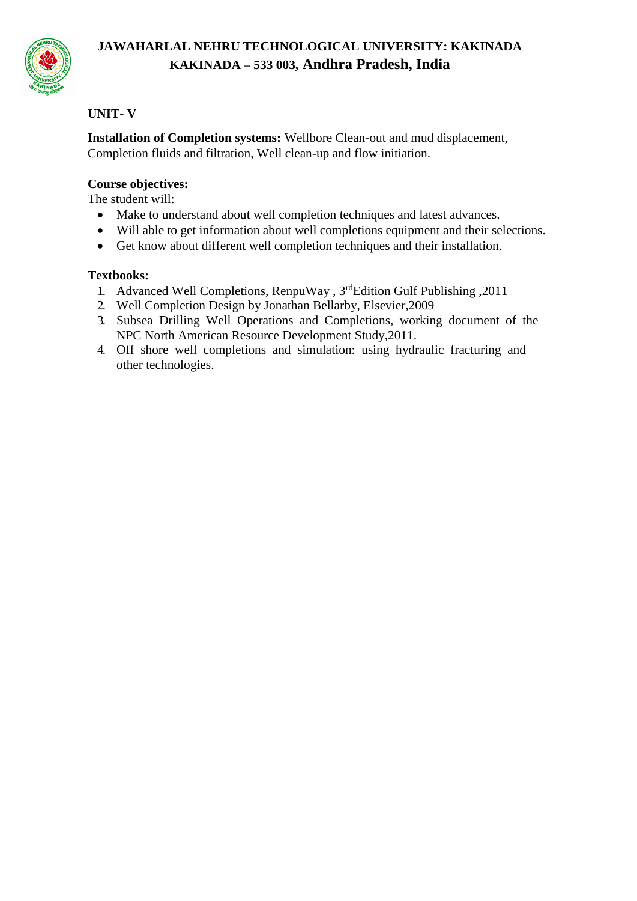

# **UNIT- V**

**Installation of Completion systems:** Wellbore Clean-out and mud displacement, Completion fluids and filtration, Well clean-up and flow initiation.

# **Course objectives:**

The student will:

- Make to understand about well completion techniques and latest advances.
- Will able to get information about well completions equipment and their selections.
- Get know about different well completion techniques and their installation.

# **Textbooks:**

- 1. Advanced Well Completions, RenpuWay , 3rdEdition Gulf Publishing ,2011
- 2. Well Completion Design by Jonathan Bellarby, Elsevier,2009
- 3. Subsea Drilling Well Operations and Completions, working document of the NPC North American Resource Development Study,2011.
- 4. Off shore well completions and simulation: using hydraulic fracturing and other technologies.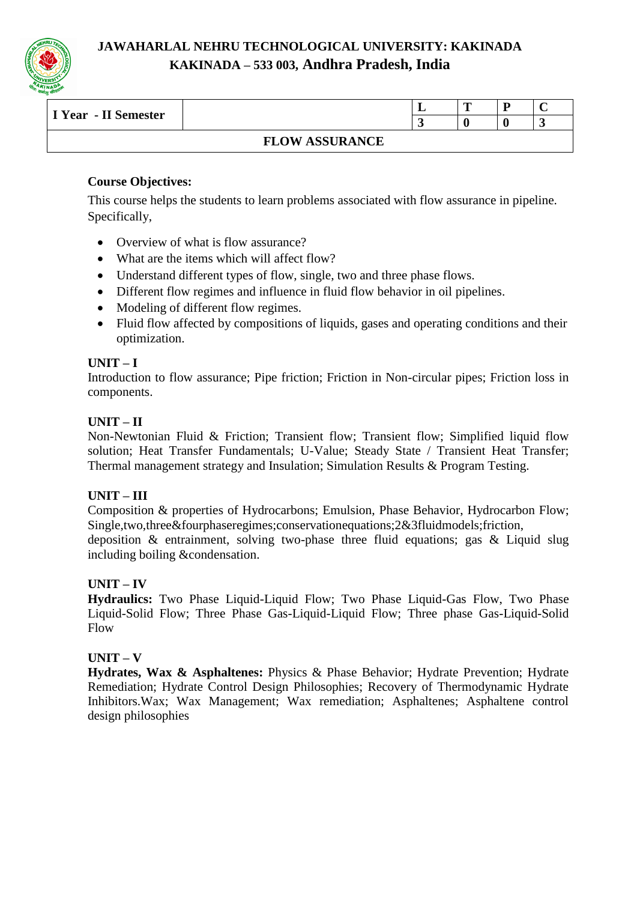

| I Year - II Semester |                            | . . | m |  |
|----------------------|----------------------------|-----|---|--|
|                      |                            |     |   |  |
|                      | ' ASSURANCE<br><b>FLOW</b> |     |   |  |

# **Course Objectives:**

This course helps the students to learn problems associated with flow assurance in pipeline. Specifically,

- Overview of what is flow assurance?
- What are the items which will affect flow?
- Understand different types of flow, single, two and three phase flows.
- Different flow regimes and influence in fluid flow behavior in oil pipelines.
- Modeling of different flow regimes.
- Fluid flow affected by compositions of liquids, gases and operating conditions and their optimization.

#### **UNIT – I**

Introduction to flow assurance; Pipe friction; Friction in Non-circular pipes; Friction loss in components.

#### **UNIT – II**

Non-Newtonian Fluid & Friction; Transient flow; Transient flow; Simplified liquid flow solution; Heat Transfer Fundamentals; U-Value; Steady State / Transient Heat Transfer; Thermal management strategy and Insulation; Simulation Results & Program Testing.

# **UNIT – III**

Composition & properties of Hydrocarbons; Emulsion, Phase Behavior, Hydrocarbon Flow; Single,two,three&fourphaseregimes;conservationequations;2&3fluidmodels;friction, deposition & entrainment, solving two-phase three fluid equations; gas & Liquid slug including boiling &condensation.

# **UNIT – IV**

**Hydraulics:** Two Phase Liquid-Liquid Flow; Two Phase Liquid-Gas Flow, Two Phase Liquid-Solid Flow; Three Phase Gas-Liquid-Liquid Flow; Three phase Gas-Liquid-Solid Flow

# $UNIT - V$

**Hydrates, Wax & Asphaltenes:** Physics & Phase Behavior; Hydrate Prevention; Hydrate Remediation; Hydrate Control Design Philosophies; Recovery of Thermodynamic Hydrate Inhibitors.Wax; Wax Management; Wax remediation; Asphaltenes; Asphaltene control design philosophies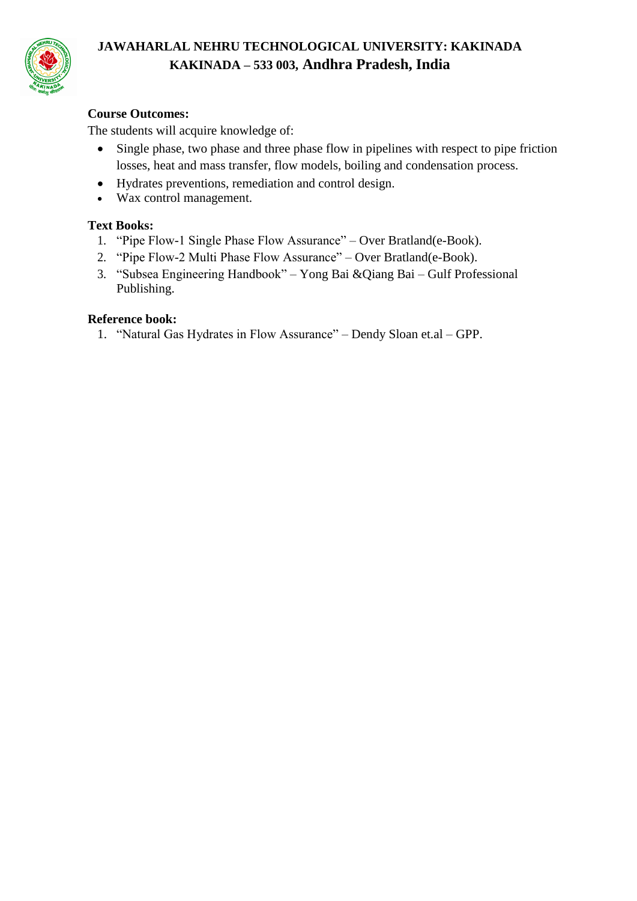

# **Course Outcomes:**

The students will acquire knowledge of:

- Single phase, two phase and three phase flow in pipelines with respect to pipe friction losses, heat and mass transfer, flow models, boiling and condensation process.
- Hydrates preventions, remediation and control design.
- Wax control management.

### **Text Books:**

- 1. "Pipe Flow-1 Single Phase Flow Assurance" Over Bratland(e-Book).
- 2. "Pipe Flow-2 Multi Phase Flow Assurance" Over Bratland(e-Book).
- 3. "Subsea Engineering Handbook" Yong Bai &Qiang Bai Gulf Professional Publishing.

#### **Reference book:**

1. "Natural Gas Hydrates in Flow Assurance" – Dendy Sloan et.al – GPP.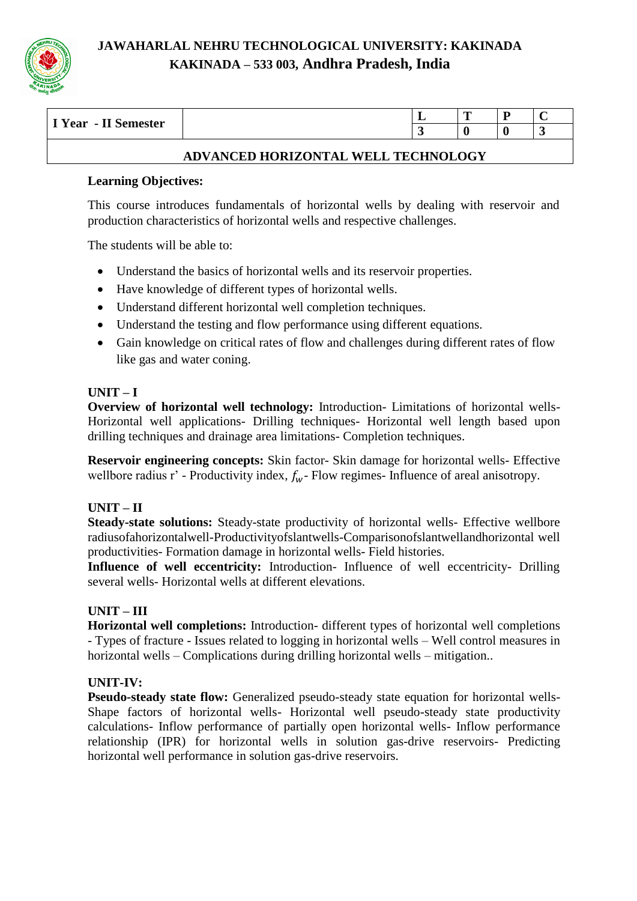

| $\mathbf{x}$<br>$\sim$<br>. Semester<br>Year<br>$\mathbf{H}$<br>- |  | m<br>$\overline{\phantom{a}}$ |  |
|-------------------------------------------------------------------|--|-------------------------------|--|
|                                                                   |  |                               |  |

# **ADVANCED HORIZONTAL WELL TECHNOLOGY**

#### **Learning Objectives:**

This course introduces fundamentals of horizontal wells by dealing with reservoir and production characteristics of horizontal wells and respective challenges.

The students will be able to:

- Understand the basics of horizontal wells and its reservoir properties.
- Have knowledge of different types of horizontal wells.
- Understand different horizontal well completion techniques.
- Understand the testing and flow performance using different equations.
- Gain knowledge on critical rates of flow and challenges during different rates of flow like gas and water coning.

# **UNIT – I**

**Overview of horizontal well technology:** Introduction- Limitations of horizontal wells-Horizontal well applications- Drilling techniques- Horizontal well length based upon drilling techniques and drainage area limitations- Completion techniques.

**Reservoir engineering concepts:** Skin factor- Skin damage for horizontal wells- Effective wellbore radius r' - Productivity index,  $f_w$ - Flow regimes- Influence of areal anisotropy.

# **UNIT – II**

**Steady-state solutions:** Steady-state productivity of horizontal wells- Effective wellbore radiusofahorizontalwell-Productivityofslantwells-Comparisonofslantwellandhorizontal well productivities- Formation damage in horizontal wells- Field histories.

**Influence of well eccentricity:** Introduction- Influence of well eccentricity- Drilling several wells- Horizontal wells at different elevations.

# **UNIT – III**

**Horizontal well completions:** Introduction- different types of horizontal well completions - Types of fracture - Issues related to logging in horizontal wells – Well control measures in horizontal wells – Complications during drilling horizontal wells – mitigation..

#### **UNIT-IV:**

**Pseudo-steady state flow:** Generalized pseudo-steady state equation for horizontal wells-Shape factors of horizontal wells- Horizontal well pseudo-steady state productivity calculations- Inflow performance of partially open horizontal wells- Inflow performance relationship (IPR) for horizontal wells in solution gas-drive reservoirs- Predicting horizontal well performance in solution gas-drive reservoirs.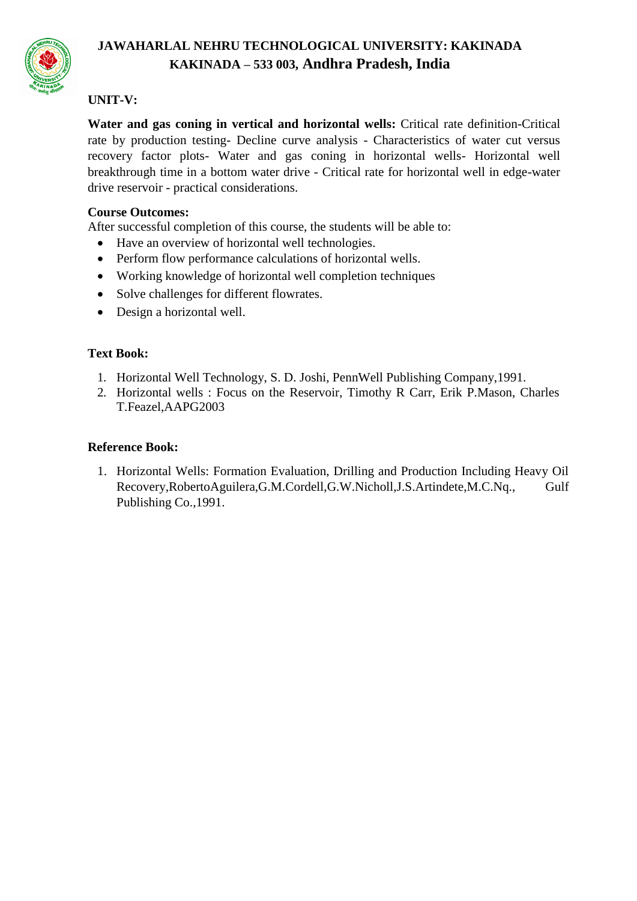

# **UNIT-V:**

**Water and gas coning in vertical and horizontal wells:** Critical rate definition-Critical rate by production testing- Decline curve analysis - Characteristics of water cut versus recovery factor plots- Water and gas coning in horizontal wells- Horizontal well breakthrough time in a bottom water drive - Critical rate for horizontal well in edge-water drive reservoir - practical considerations.

#### **Course Outcomes:**

After successful completion of this course, the students will be able to:

- Have an overview of horizontal well technologies.
- Perform flow performance calculations of horizontal wells.
- Working knowledge of horizontal well completion techniques
- Solve challenges for different flowrates.
- Design a horizontal well.

# **Text Book:**

- 1. Horizontal Well Technology, S. D. Joshi, PennWell Publishing Company,1991.
- 2. Horizontal wells : Focus on the Reservoir, Timothy R Carr, Erik P.Mason, Charles T.Feazel,AAPG2003

#### **Reference Book:**

1. Horizontal Wells: Formation Evaluation, Drilling and Production Including Heavy Oil Recovery,RobertoAguilera,G.M.Cordell,G.W.Nicholl,J.S.Artindete,M.C.Nq., Gulf Publishing Co.,1991.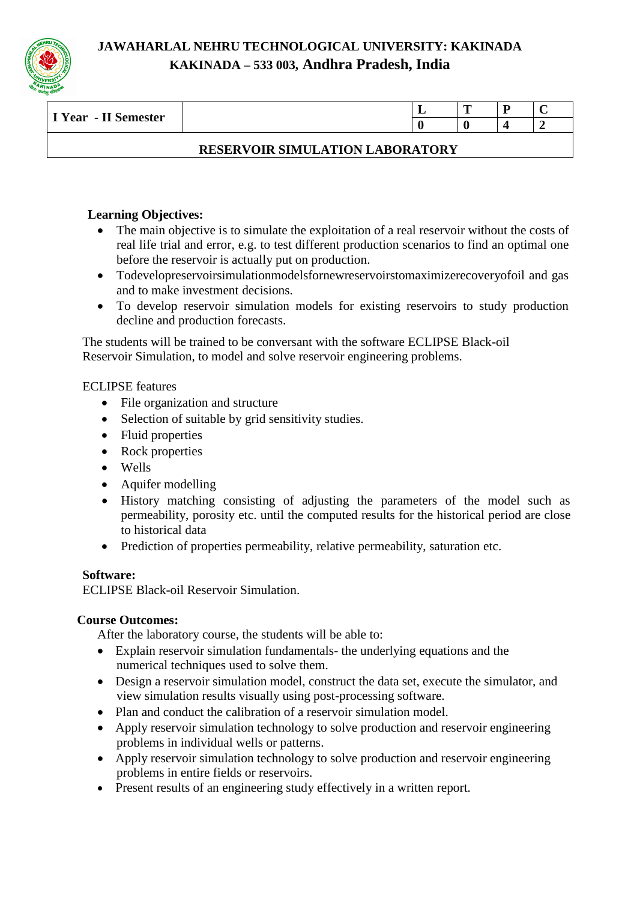

| - II Semester<br>I Year |  | m |  |
|-------------------------|--|---|--|
|                         |  |   |  |
|                         |  |   |  |

# **RESERVOIR SIMULATION LABORATORY**

# **Learning Objectives:**

- The main objective is to simulate the exploitation of a real reservoir without the costs of real life trial and error, e.g. to test different production scenarios to find an optimal one before the reservoir is actually put on production.
- Todevelopreservoirsimulationmodelsfornewreservoirstomaximizerecoveryofoil and gas and to make investment decisions.
- To develop reservoir simulation models for existing reservoirs to study production decline and production forecasts.

The students will be trained to be conversant with the software ECLIPSE Black-oil Reservoir Simulation, to model and solve reservoir engineering problems.

#### ECLIPSE features

- File organization and structure
- Selection of suitable by grid sensitivity studies.
- Fluid properties
- Rock properties
- Wells
- Aquifer modelling
- History matching consisting of adjusting the parameters of the model such as permeability, porosity etc. until the computed results for the historical period are close to historical data
- Prediction of properties permeability, relative permeability, saturation etc.

# **Software:**

ECLIPSE Black-oil Reservoir Simulation.

# **Course Outcomes:**

After the laboratory course, the students will be able to:

- Explain reservoir simulation fundamentals- the underlying equations and the numerical techniques used to solve them.
- Design a reservoir simulation model, construct the data set, execute the simulator, and view simulation results visually using post-processing software.
- Plan and conduct the calibration of a reservoir simulation model.
- Apply reservoir simulation technology to solve production and reservoir engineering problems in individual wells or patterns.
- Apply reservoir simulation technology to solve production and reservoir engineering problems in entire fields or reservoirs.
- Present results of an engineering study effectively in a written report.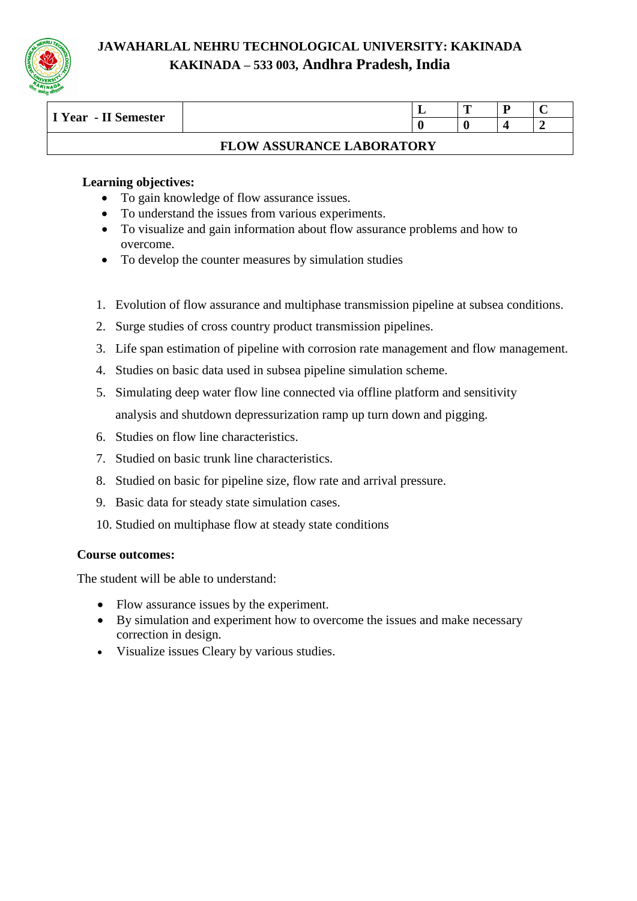

| I Year - II Semester |                                  | m |  |
|----------------------|----------------------------------|---|--|
|                      |                                  |   |  |
|                      | <b>FLOW ASSURANCE LABORATORY</b> |   |  |

#### **Learning objectives:**

- To gain knowledge of flow assurance issues.
- To understand the issues from various experiments.
- To visualize and gain information about flow assurance problems and how to overcome.
- To develop the counter measures by simulation studies
- 1. Evolution of flow assurance and multiphase transmission pipeline at subsea conditions.
- 2. Surge studies of cross country product transmission pipelines.
- 3. Life span estimation of pipeline with corrosion rate management and flow management.
- 4. Studies on basic data used in subsea pipeline simulation scheme.
- 5. Simulating deep water flow line connected via offline platform and sensitivity analysis and shutdown depressurization ramp up turn down and pigging.
- 6. Studies on flow line characteristics.
- 7. Studied on basic trunk line characteristics.
- 8. Studied on basic for pipeline size, flow rate and arrival pressure.
- 9. Basic data for steady state simulation cases.
- 10. Studied on multiphase flow at steady state conditions

# **Course outcomes:**

The student will be able to understand:

- Flow assurance issues by the experiment.
- By simulation and experiment how to overcome the issues and make necessary correction in design.
- Visualize issues Cleary by various studies.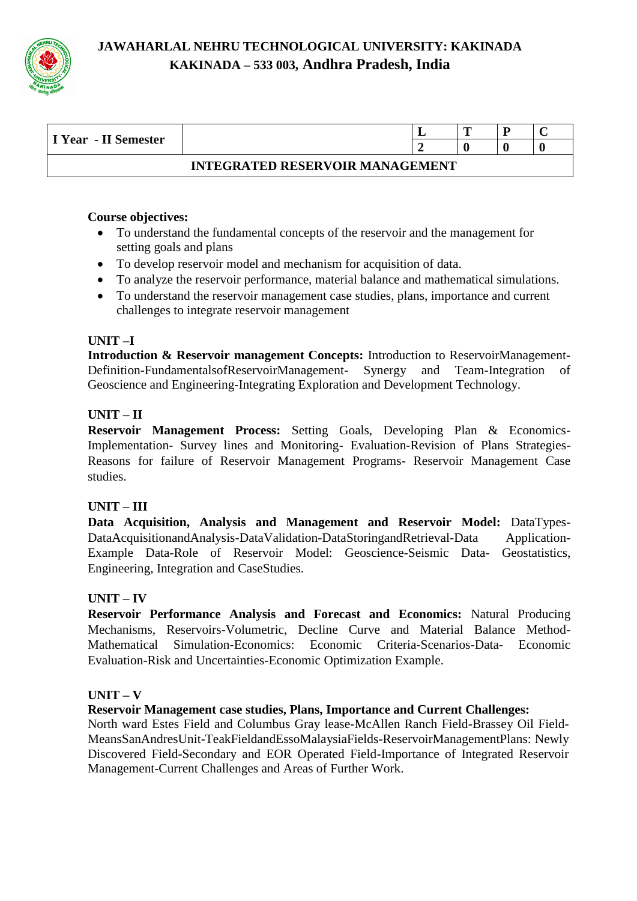

| I Year - II Semester                   |  |  | m |  |  |  |  |  |  |
|----------------------------------------|--|--|---|--|--|--|--|--|--|
|                                        |  |  |   |  |  |  |  |  |  |
| <b>INTEGRATED RESERVOIR MANAGEMENT</b> |  |  |   |  |  |  |  |  |  |

#### **Course objectives:**

- To understand the fundamental concepts of the reservoir and the management for setting goals and plans
- To develop reservoir model and mechanism for acquisition of data.
- To analyze the reservoir performance, material balance and mathematical simulations.
- To understand the reservoir management case studies, plans, importance and current challenges to integrate reservoir management

#### **UNIT –I**

**Introduction & Reservoir management Concepts:** Introduction to ReservoirManagement-Definition-FundamentalsofReservoirManagement- Synergy and Team-Integration of Geoscience and Engineering-Integrating Exploration and Development Technology.

#### **UNIT – II**

**Reservoir Management Process:** Setting Goals, Developing Plan & Economics-Implementation- Survey lines and Monitoring- Evaluation-Revision of Plans Strategies-Reasons for failure of Reservoir Management Programs- Reservoir Management Case studies.

# **UNIT – III**

**Data Acquisition, Analysis and Management and Reservoir Model:** DataTypes-DataAcquisitionandAnalysis-DataValidation-DataStoringandRetrieval-Data Application-Example Data-Role of Reservoir Model: Geoscience-Seismic Data- Geostatistics, Engineering, Integration and CaseStudies.

#### **UNIT – IV**

**Reservoir Performance Analysis and Forecast and Economics:** Natural Producing Mechanisms, Reservoirs-Volumetric, Decline Curve and Material Balance Method-Mathematical Simulation-Economics: Economic Criteria-Scenarios-Data- Economic Evaluation-Risk and Uncertainties-Economic Optimization Example.

#### $UNIT - V$

#### **Reservoir Management case studies, Plans, Importance and Current Challenges:**

North ward Estes Field and Columbus Gray lease-McAllen Ranch Field-Brassey Oil Field-MeansSanAndresUnit-TeakFieldandEssoMalaysiaFields-ReservoirManagementPlans: Newly Discovered Field-Secondary and EOR Operated Field-Importance of Integrated Reservoir Management-Current Challenges and Areas of Further Work.